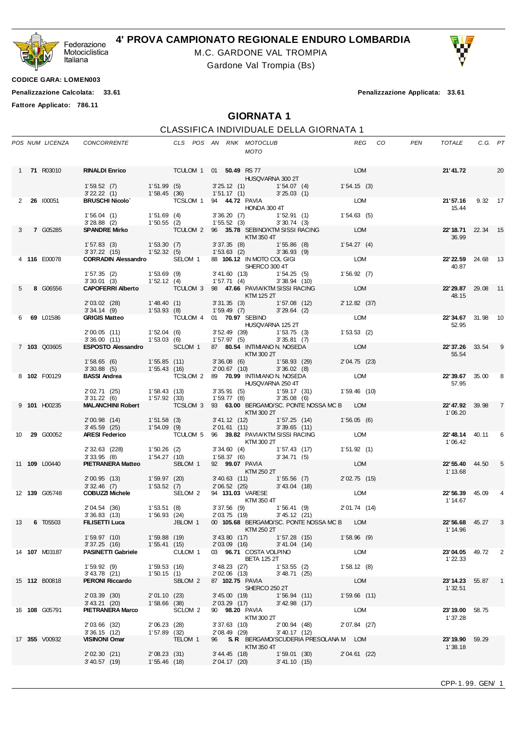

## **4' PROVA CAMPIONATO REGIONALE ENDURO LOMBARDIA**

M.C. GARDONE VAL TROMPIA

Gardone Val Trompia (Bs)

**CODICE GARA: LOMEN003**

**Penalizzazione Calcolata: 33.61 Penalizzazione Applicata: 33.61**

**Fattore Applicato: 786.11**

## **GIORNATA 1**

## CLASSIFICA INDIVIDUALE DELLA GIORNATA 1

|    | POS NUM LICENZA      | CONCORRENTE                                                                                                                                                                 |                           | CLS POS AN RNK MOTOCLUB                  |                               | <b>MOTO</b>                                                |                           |                                                                                                                                                              | REG CO                   | PEN | TOTALE                             | C.G. PT |    |
|----|----------------------|-----------------------------------------------------------------------------------------------------------------------------------------------------------------------------|---------------------------|------------------------------------------|-------------------------------|------------------------------------------------------------|---------------------------|--------------------------------------------------------------------------------------------------------------------------------------------------------------|--------------------------|-----|------------------------------------|---------|----|
|    | 1 71 R03010          | RINALDI Enrico TCULOM 1 01 50.49 RS 77<br>$1'53.52$ (7) $1'51.99$ (5) $3'25.12$ (1) $1'54.07$ (4)<br>$3'22.22$ (1) $1'58.45$ (36) $1'51.17$ (1) $3'25.03$ (1)               |                           |                                          |                               | HUSQVARNA 300 2T                                           |                           |                                                                                                                                                              | <b>LOM</b><br>1'54.15(3) |     | 21'41.72                           |         | 20 |
|    | 2 26 100051          | BRUSCHI Nicolo <sup>*</sup> TCSLOM 1 94 44.72 PAVIA                                                                                                                         |                           |                                          |                               |                                                            |                           |                                                                                                                                                              | LOM                      |     | 21'57.16 9.32 17                   |         |    |
|    |                      | 1'56.04 (1) 1'51.69 (4) 3'36.20 (7) 1'52.91 (1)<br>3'28.88 (2) 1'50.55 (2) 1'55.52 (3) 3'30.74 (3)<br><b>SPANDRE Mirko</b> TCULOM 2 96 <b>35.78</b> SEBINO/KTM SISSI RACING |                           |                                          |                               | <b>HONDA 300 4T</b>                                        |                           |                                                                                                                                                              | 1'54.63(5)               |     | 15.44                              |         |    |
|    | <b>7 G05285</b>      |                                                                                                                                                                             |                           |                                          |                               | <b>EXTM 350 4T</b>                                         |                           |                                                                                                                                                              | <b>LOM</b>               |     | 22'18.71 22.34 15<br>36.99         |         |    |
|    |                      | $1'57.83$ (3) $1'53.30$ (7)<br>3' 37.22 (15) 1' 52.32 (5)                                                                                                                   |                           |                                          |                               | 1' 53.63 (2) 3' 36.93 (9)                                  |                           | 3' 37.35 (8) 1' 55.86 (8) 1' 54.27 (4)                                                                                                                       |                          |     |                                    |         |    |
|    | 4 116 E00078         | CORRADIN Alessandro SELOM 1 88 106.12 IN MOTO COL GIGI                                                                                                                      |                           |                                          |                               | SHERCO 300 4T                                              |                           |                                                                                                                                                              | LOM                      |     | 22'22.59 24.68 13<br>40.87         |         |    |
|    |                      | $1'57.35$ (2) $1'53.69$ (9)<br>$3'30.01$ (3) $1'52.12$ (4)                                                                                                                  |                           |                                          |                               |                                                            |                           |                                                                                                                                                              |                          |     |                                    |         |    |
| 5  | 8 G06556             | CAPOFERRI Alberto TCULOM 3 98 47.66 PAVIA/KTM SISSI RACING                                                                                                                  |                           |                                          |                               | <b>KTM 125 2T</b>                                          |                           |                                                                                                                                                              | <b>LOM</b>               |     | 22'29.87 29.08 11<br>48.15         |         |    |
|    |                      |                                                                                                                                                                             |                           |                                          |                               |                                                            |                           |                                                                                                                                                              | 2' 12.82 (37)            |     |                                    |         |    |
|    | 6 69 L01586          | GRIGIS Matteo TCULOM 4 01 70.97 SEBINO                                                                                                                                      |                           |                                          |                               | HUSQVARNA 125 2T                                           |                           |                                                                                                                                                              | LOM                      |     | 22'34.67 31.98 10<br>52.95         |         |    |
|    |                      | 2'00.05 (11) 1'52.04 (6)<br>3'36.00 (11) 1'53.03 (6)                                                                                                                        |                           |                                          |                               | 3' 52.49 (39) 1' 53.75 (3)<br>1' 57.97 (5) 3' 35.81 (7)    |                           |                                                                                                                                                              | 1'53.53(2)               |     |                                    |         |    |
|    | 7 103 Q03605         | ESPOSTO Alessandro SCLOM 1 87 80.54 INTIMIANO N. NOSEDA                                                                                                                     |                           |                                          |                               | $KTM$ 300 2T                                               |                           |                                                                                                                                                              | <b>LOM</b>               |     | <b>22' 37.26</b> 33.54<br>55.54    |         | 9  |
|    |                      | $1'58.65$ (6) $1'55.85$ (11) $3'36.08$ (6) $1'58.93$ (29) $2'04$<br>$3'30.88$ (5) $1'55.43$ (16) $2'00.67$ (10) $3'36.02$ (8)                                               |                           |                                          |                               |                                                            |                           |                                                                                                                                                              | 2' 04.75 (23)            |     |                                    |         |    |
|    | 8 102 F00129         | BASSI Andrea <b>EXECUTE 12 TO SEXUAL 2 89 70.99 INTIMIANO N. NOSEDA</b> LOM                                                                                                 |                           |                                          |                               | <b>HUSQVARNA 250 4T</b>                                    |                           |                                                                                                                                                              |                          |     | <b>22'39.67</b> 35.00<br>57.95     |         | 8  |
|    |                      | 2' 02.71 (25) 1' 58.43 (13)<br>3' 31.22 (6) 1' 57.92 (33)                                                                                                                   |                           |                                          |                               | 3' 35.91 (5) 1' 59.17 (31)<br>1' 59.77 (8) 3' 35.08 (6)    |                           |                                                                                                                                                              | $1'59.46$ (10)           |     |                                    |         |    |
|    | 9 101 H00235         | MALANCHINI Robert <b>TCSLOM 3 93 63.00 BERGAMO/SC. PONTE NOSSA MC B</b> LOM                                                                                                 |                           |                                          |                               | <b>EXTM 300 2T</b>                                         |                           |                                                                                                                                                              |                          |     | <b>22'47.92</b> 39.98 7<br>1'06.20 |         |    |
|    |                      | 2'00.98 (14) 1'51.58 (3)<br>3'45.59 (25) 1'54.09 (9)                                                                                                                        |                           |                                          |                               | 2'01.61 (11)                                               | $3'39.65$ (11)            | 3'41.12 (12) 1'57.25 (14) 1'56.05 (6)                                                                                                                        |                          |     |                                    |         |    |
|    | 10 <b>29</b> G00052  | <b>ARESI Federico</b>                                                                                                                                                       |                           | TCULOM 5 96 39.82 PAVIA/KTM SISSI RACING |                               | <b>KTM 300 2T</b>                                          |                           |                                                                                                                                                              | LOM                      |     | <b>22' 48.14</b> 40.11<br>1'06.42  |         | 6  |
|    |                      | 2' 32.63 (228) 1' 50.26 (2)<br>3' 33.95 (8) 1' 54.27 (10)                                                                                                                   |                           |                                          |                               | 3' 34.60 (4) 1' 57.43 (17)<br>1' 58.37 (6) 3' 34.71 (5)    |                           |                                                                                                                                                              | 1'51.92(1)               |     |                                    |         |    |
|    | 11 <b>109</b> L00440 | PIETRANERA Matteo SBLOM 1                                                                                                                                                   |                           |                                          |                               | 92 99.07 PAVIA<br>KTM 250 2T                               |                           |                                                                                                                                                              | <b>LOM</b>               |     | <b>22' 55.40</b> 44.50<br>1' 13.68 |         | 5  |
|    |                      | 2'00.95 (13) 1'59.97 (20) 3'40.63 (11) 1'55.56 (7) 2'0'<br>3'32.46 (7) 1'53.52 (7) 2'06.52 (25) 3'43.04 (18)                                                                |                           |                                          |                               |                                                            |                           | 3'40.63 (11) 1'55.56 (7) 2'02.75 (15)                                                                                                                        |                          |     |                                    |         |    |
|    | 12 139 G05748        | COBUZZI Michele SELOM 2                                                                                                                                                     |                           |                                          |                               | 94 131.03 VARESE                                           |                           | $\begin{array}{ccc}\n\mathsf{v} & \mathsf{v} & \mathsf{A}\mathsf{R} \mathsf{E}\mathsf{S} \\ \mathsf{K} \mathsf{TM} & 350 \mathsf{4} \mathsf{T}\n\end{array}$ |                          |     | <b>22'56.39</b> 45.09<br>1' 14.67  |         |    |
|    |                      |                                                                                                                                                                             |                           |                                          |                               | 2' 03.75 (19)                                              | 3'45.12(21)               | 3' 37.56 (9) 1' 56.41 (9) 2' 01.74 (14)                                                                                                                      |                          |     |                                    |         |    |
| 13 | 6 T05503             |                                                                                                                                                                             |                           | KTM 250 2T                               |                               |                                                            |                           | 00 105.68 BERGAMO/SC. PONTE NOSSA MC B LOM                                                                                                                   |                          |     | <b>22'56.68</b> 45.27<br>1' 14.96  |         | 3  |
|    |                      | 1'59.97(10)<br>3' 37.25 (16) 1' 55.41 (15)                                                                                                                                  | 1'59.88 (19)              |                                          |                               | 3' 43.80 (17) 1' 57.28 (15)<br>2' 03.09 (16) 3' 41.04 (14) |                           |                                                                                                                                                              | $1'58.96$ (9)            |     |                                    |         |    |
|    | 14 <b>107</b> M03187 | <b>PASINETTI Gabriele</b><br>1'59.92(9)                                                                                                                                     |                           | CULOM 1                                  |                               | 03 96.71 COSTA VOLPINO<br><b>BETA 125 2T</b>               |                           |                                                                                                                                                              | LOM                      |     | 23'04.05 49.72<br>1'22.33          |         | 2  |
|    | 15 <b>112</b> B00818 | $3'$ 43.78 (21)<br><b>PERONI Riccardo</b>                                                                                                                                   | 1'59.53(16)<br>1'50.15(1) | SBLOM 2                                  | 3' 48.23 (27)<br>2'02.06 (13) | 87 102.75 PAVIA                                            | 1'53.55(2)<br>3'48.71(25) |                                                                                                                                                              | 1'58.12(8)<br>LOM        |     | <b>23'14.23</b> 55.87 1            |         |    |
|    |                      | 2' 03.39 (30)                                                                                                                                                               | 2'01.10(23)               |                                          |                               | SHERCO 250 2T<br>3' 45.00 (19)                             | 1'56.94(11)               |                                                                                                                                                              | $1'59.66$ (11)           |     | 1'32.51                            |         |    |
|    | 16 <b>108</b> G05791 | 3' 43.21 (20)<br><b>PIETRANERA Marco</b>                                                                                                                                    | $1'58.66$ (38)            | SCLOM <sub>2</sub>                       | 2'03.29(17)                   | 90 98.20 PAVIA                                             | 3' 42.98 (17)             |                                                                                                                                                              | LOM                      |     | 23'19.00 58.75                     |         |    |
|    |                      | 2' 03.66 (32)                                                                                                                                                               | 2'06.23(28)               |                                          |                               | KTM 300 2T<br>$3'37.63$ (10)                               | $2'00.94$ (48)            |                                                                                                                                                              | 2'07.84 (27)             |     | 1'37.28                            |         |    |
|    | 17 355 V00932        | $3'36.15$ (12)<br><b>VISINONI Omar</b>                                                                                                                                      | $1'57.89$ (32)            | TELOM 1                                  | 2' 08.49 (29)                 |                                                            | 3'40.17(12)               | 96 S.R. BERGAMO/SCUDERIA PRESOLANA M LOM                                                                                                                     |                          |     | 23' 19.90                          | 59.29   |    |
|    |                      | 2'02.30(21)                                                                                                                                                                 | 2'08.23(31)               |                                          | 3' 44.45 (18)                 | KTM 350 4T                                                 | 1'59.01(30)               |                                                                                                                                                              | 2'04.61 (22)             |     | 1'38.18                            |         |    |
|    |                      | 3'40.57(19)                                                                                                                                                                 | 1'55.46(18)               |                                          | 2' 04.17 (20)                 |                                                            | 3'41.10(15)               |                                                                                                                                                              |                          |     |                                    |         |    |
|    |                      |                                                                                                                                                                             |                           |                                          |                               |                                                            |                           |                                                                                                                                                              |                          |     |                                    |         |    |

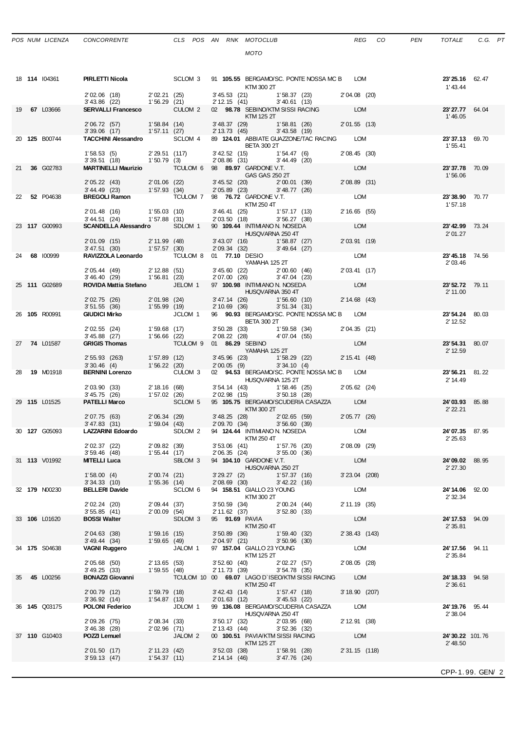|  | POS NUM LICENZA | CONCORRE |
|--|-----------------|----------|
|  |                 |          |

| ۰.<br>×<br>۹ |
|--------------|
|              |

|    | 18 114 104361        | <b>PIRLETTI Nicola</b> 6 SCLOM 3 91 105.55 BERGAMO/SC. PONTE NOSSA MC B LOM                                                                                                                                                                                                            |                               |                                                     |                |                                                                                |               |                                                                                                                                                                                                                                                                 |                 |                                                   | 23'25.16 62.47             |       |
|----|----------------------|----------------------------------------------------------------------------------------------------------------------------------------------------------------------------------------------------------------------------------------------------------------------------------------|-------------------------------|-----------------------------------------------------|----------------|--------------------------------------------------------------------------------|---------------|-----------------------------------------------------------------------------------------------------------------------------------------------------------------------------------------------------------------------------------------------------------------|-----------------|---------------------------------------------------|----------------------------|-------|
|    |                      | 2'02.06 (18) 2'02.21 (25) 3'45.53 (21) 1'58.37 (23) 2'04.08 (20)<br>3'43.86 (22) 1'56.29 (21) 2'12.15 (41) 3'40.61 (13)                                                                                                                                                                |                               |                                                     |                | KTM 300 2T                                                                     |               |                                                                                                                                                                                                                                                                 |                 |                                                   | 1'43.44                    |       |
|    | 19 67 L03666         | SERVALLI Francesco CULOM 2 02 98.78 SEBINO/KTM SISSI RACING LOM                                                                                                                                                                                                                        |                               |                                                     |                | <b>EXTM 125 2T</b>                                                             |               |                                                                                                                                                                                                                                                                 |                 |                                                   | 23'27.77 64.04             |       |
|    |                      |                                                                                                                                                                                                                                                                                        |                               |                                                     |                |                                                                                |               |                                                                                                                                                                                                                                                                 |                 |                                                   | 1'46.05                    |       |
|    | 20 125 B00744        | 2'06.72 (57) 1'58.84 (14) 3'48.37 (29) 1'58.81 (26) 2'01.55 (13)<br>3'39.06 (17) 1'57.11 (27) 2'13.73 (45) 3'43.58 (19)<br>TACCHINI Alessandro SCLOM 4 89 124.01 ABBIATE GUAZZONE/TAC RACING LOM                                                                                       |                               |                                                     |                |                                                                                |               |                                                                                                                                                                                                                                                                 |                 |                                                   | 23'37.13 69.70             |       |
|    |                      | 1' 58.53 (5) 2' 29.51 (117)                                                                                                                                                                                                                                                            |                               |                                                     |                | <b>BETA 300 2T</b>                                                             |               |                                                                                                                                                                                                                                                                 |                 |                                                   | 1' 55.41                   |       |
|    |                      | $3'39.51$ (18) $1'50.79$ (3)                                                                                                                                                                                                                                                           |                               |                                                     |                |                                                                                |               | $3'42.52$ (15) $1'54.47$ (6) $2'08.45$ (30)<br>$2'08.86$ (31) $3'44.49$ (20)                                                                                                                                                                                    |                 |                                                   |                            |       |
|    | 21 36 G02783         |                                                                                                                                                                                                                                                                                        |                               |                                                     |                |                                                                                |               |                                                                                                                                                                                                                                                                 | <b>LOM</b>      |                                                   | 23'37.78 70.09<br>1'56.06  |       |
|    |                      | 2' 05.22 (43) 2' 01.06 (22)<br>3' 44.49 (23) 1' 57.93 (34)                                                                                                                                                                                                                             |                               |                                                     |                |                                                                                |               | 3' 45.52 (20) 2' 00.01 (39) 2' 08.89 (31)<br>2' 05.89 (23) 3' 48.77 (26)                                                                                                                                                                                        |                 |                                                   |                            |       |
|    | 22 52 P04638         | <b>BREGOLI Ramon</b> $U^{(3)}$ $U^{(4)}$ $U^{(5)}$ $U^{(6)}$ $U^{(7)}$ $U^{(8)}$ $U^{(8)}$ $U^{(8)}$ $U^{(8)}$ $U^{(8)}$ $U^{(8)}$ $U^{(8)}$ $U^{(8)}$ $U^{(8)}$ $U^{(8)}$ $U^{(8)}$ $U^{(8)}$ $U^{(8)}$ $U^{(8)}$ $U^{(8)}$ $U^{(8)}$ $U^{(8)}$ $U^{(8)}$ $U^{(8)}$ $U^{(8)}$ $U^{(8$ |                               |                                                     |                |                                                                                |               |                                                                                                                                                                                                                                                                 |                 |                                                   | 23'38.90 70.77             |       |
|    |                      | 2'01.48 (16) 1'55.03 (10)                                                                                                                                                                                                                                                              |                               |                                                     |                |                                                                                |               |                                                                                                                                                                                                                                                                 |                 |                                                   | 1'57.18                    |       |
|    |                      | $3'44.51$ (24) $1'57.88$ (31)<br>SCANDELLA Alessandro SDLOM 1 90 109.44 INTIMIANO N. NOSEDA                                                                                                                                                                                            |                               |                                                     |                |                                                                                |               | $3'46.41$ (25) $1'57.17$ (13) $2'16.65$ (55)<br>$2'03.50$ (18) $3'56.27$ (38)<br>$90.409.44$ $100.47$ $100.44$ $100.47$ $100.47$ $100.47$ $100.47$ $100.47$ $100.47$ $100.47$ $100.47$ $100.47$ $100.47$ $100.47$ $100.47$ $100.47$                             |                 |                                                   |                            |       |
|    | 23 117 G00993        |                                                                                                                                                                                                                                                                                        |                               |                                                     |                | <b>HUSQVARNA 250 4T</b>                                                        |               |                                                                                                                                                                                                                                                                 | LOM             |                                                   | 23'42.99 73.24<br>2'01.27  |       |
|    |                      | 2' 01.09 (15) 2' 11.99 (48)<br>3' 47.51 (30) 1' 57.57 (30)                                                                                                                                                                                                                             |                               |                                                     |                | 3' 43.07 (16) 1' 58.87 (27)<br>2' 09.34 (32) 3' 49.64 (27)                     |               |                                                                                                                                                                                                                                                                 | 2' 03.91 (19)   |                                                   |                            |       |
|    | 24 68 100999         | RAVIZZOLA Leonardo TCULOM 8 01 77.10 DESIO                                                                                                                                                                                                                                             |                               |                                                     |                |                                                                                |               |                                                                                                                                                                                                                                                                 | <b>LOM</b>      |                                                   | <b>23' 45.18</b> 74.56     |       |
|    |                      | 2'05.44 (49) 2'12.88 (51) 3'45.60 (22) 2'00.60 (46)<br>3'46.40 (29) 1'56.81 (23) 2'07.00 (26) 3'47.04 (23)                                                                                                                                                                             |                               |                                                     |                | YAMAHA 125 2T                                                                  |               |                                                                                                                                                                                                                                                                 | 2' 03.41 (17)   |                                                   | 2'03.46                    |       |
|    | 25 111 G02689        | ROVIDA Mattia Stefano JELOM 1 97 100.98 INTIMIANO N. NOSEDA                                                                                                                                                                                                                            |                               |                                                     |                |                                                                                |               |                                                                                                                                                                                                                                                                 | LOM             |                                                   | 23' 52.72 79.11            |       |
|    |                      |                                                                                                                                                                                                                                                                                        |                               |                                                     |                | HUSQVARNA 350 4T                                                               |               |                                                                                                                                                                                                                                                                 |                 |                                                   | 2' 11.00                   |       |
|    |                      | 2'02.75 (26) 2'01.98 (24) 3'47.14 (26) 1'56.60 (10) 2'14.68 (43)<br>3'51.55 (36) 1'55.99 (19) 2'10.69 (36) 3'51.34 (31)                                                                                                                                                                |                               |                                                     |                |                                                                                |               |                                                                                                                                                                                                                                                                 |                 |                                                   |                            |       |
|    | 26 105 R00991        | <b>GIUDICI Mirko</b>                                                                                                                                                                                                                                                                   |                               |                                                     |                | <b>BETA 300 2T</b>                                                             |               |                                                                                                                                                                                                                                                                 |                 | JCLOM 1 96 90.93 BERGAMO/SC. PONTE NOSSA MC B LOM | 23'54.24 80.03<br>2' 12.52 |       |
|    |                      | 2' 02.55 (24) 1' 59.68 (17)<br>3' 45.88 (27) 1' 56.66 (22)                                                                                                                                                                                                                             |                               |                                                     |                |                                                                                |               | $\begin{array}{cccc} 3' \, 50.28 & (33) \\ 2' \, 08.22 & (28) \\ \end{array} \hspace{1cm} \begin{array}{cccc} 1' \, 59.58 & (34) \\ 4' \, 07.04 & (55) \\ \end{array} \hspace{1cm} \begin{array}{cccc} 2' \, 04.35 & (21) \\ 4' \, 07.04 & (21) \\ \end{array}$ |                 |                                                   |                            |       |
|    | 27 74 L01587         | <b>GRIGIS Thomas</b>                                                                                                                                                                                                                                                                   |                               | TCULOM 9 01 86.29 SEBINO                            |                |                                                                                |               |                                                                                                                                                                                                                                                                 |                 |                                                   | 23' 54.31 80.07            |       |
|    |                      |                                                                                                                                                                                                                                                                                        |                               |                                                     |                |                                                                                |               |                                                                                                                                                                                                                                                                 |                 |                                                   | 2' 12.59                   |       |
|    |                      | 2' 55.93 (263) 1' 57.89 (12)<br>3' 30.46 (4) 1' 56.22 (20)                                                                                                                                                                                                                             |                               |                                                     |                |                                                                                |               | $3'45.96$ (23) $1'58.29$ (22) $2'15.41$ (48)<br>$2'00.05$ (9) $3'34.10$ (4)                                                                                                                                                                                     |                 |                                                   |                            |       |
|    | 28 19 M01918         |                                                                                                                                                                                                                                                                                        |                               |                                                     |                | HUSQVARNA 125 2T                                                               |               |                                                                                                                                                                                                                                                                 |                 |                                                   | 23'56.21 81.22<br>2' 14.49 |       |
|    |                      | 2' 03.90 (33) 2' 18.16 (68)<br>$3' 45.75$ (26)                                                                                                                                                                                                                                         |                               |                                                     |                |                                                                                |               | 3' 54.14 (43) 1' 58.46 (25) 2' 05.62 (24)<br>2' 02.98 (15) 3' 50.18 (28)                                                                                                                                                                                        |                 |                                                   |                            |       |
|    | 29 115 L01525        | <b>PATELLI Marco</b>                                                                                                                                                                                                                                                                   |                               | 1'57.02 (26)<br>SCLOM 5                             |                |                                                                                |               | 95 105.75 BERGAMO/SCUDERIA CASAZZA LOM                                                                                                                                                                                                                          |                 |                                                   | 24'03.93 85.88             |       |
|    |                      |                                                                                                                                                                                                                                                                                        |                               |                                                     |                | $KTM$ 300 2T                                                                   |               |                                                                                                                                                                                                                                                                 |                 |                                                   | 2' 22.21                   |       |
|    | 30 127 G05093        | 2 07.75 (63) 2 06.34 (29) 3 48.25 (28) 2 02.65 (59) 2 05.77 (26)<br>3 47.83 (31) 1 59.04 (43) 2 09.70 (34) 3 56.60 (39)<br><b>LAZZARINI Edoardo</b> SDLOM 2 94 <b>124.44</b> INTIMIANON. NOSEDA LOM                                                                                    |                               |                                                     |                |                                                                                |               |                                                                                                                                                                                                                                                                 |                 |                                                   | 24'07.35 87.95             |       |
|    |                      |                                                                                                                                                                                                                                                                                        |                               |                                                     |                | <b>KTM 250 4T</b>                                                              |               |                                                                                                                                                                                                                                                                 |                 |                                                   | 2' 25.63                   |       |
|    |                      | 2' 02.37 (22)<br>3'59.46(48)                                                                                                                                                                                                                                                           | 2'09.82 (39)<br>1'55.44 (17)  |                                                     |                | 2'06.35 (24) 3'55.00 (36)                                                      |               | 3' 53.06 (41) 1' 57.76 (20) 2' 08.09 (29)                                                                                                                                                                                                                       |                 |                                                   |                            |       |
|    | 31 <b>113</b> V01992 | <b>MITELLI Luca</b>                                                                                                                                                                                                                                                                    |                               | SBLOM 3                                             |                | 94 104.10 GARDONE V.T.                                                         |               |                                                                                                                                                                                                                                                                 | LOM             |                                                   | 24'09.02 88.95             |       |
|    |                      | 1'58.00(4)                                                                                                                                                                                                                                                                             |                               | 2'00.74 (21)                                        |                | HUSQVARNA 250 2T<br>$3'29.27$ (2)                                              | 1'57.37 (16)  |                                                                                                                                                                                                                                                                 | $3'23.04$ (208) |                                                   | 2' 27.30                   |       |
|    | 32 179 N00230        | 3'34.33 (10) 1'55.36 (14)<br><b>BELLERI Davide</b>                                                                                                                                                                                                                                     |                               | SCLOM <sub>6</sub>                                  |                | 2'08.69 (30) 3'42.22 (16)<br>94 158.51 GIALLO 23 YOUNG                         |               |                                                                                                                                                                                                                                                                 | LOM             |                                                   | 24'14.06 92.00             |       |
|    |                      |                                                                                                                                                                                                                                                                                        | 2'09.44 (37)                  |                                                     |                | KTM 300 2T                                                                     |               |                                                                                                                                                                                                                                                                 |                 |                                                   | 2' 32.34                   |       |
|    |                      | 2' 02.24 (20)<br>3'55.85(41)                                                                                                                                                                                                                                                           | 2'00.09(54)                   |                                                     |                | 3' 50.59 (34) 2' 00.24 (44)<br>2' 11.62 (37) 3' 52.80 (33)                     |               |                                                                                                                                                                                                                                                                 | 2' 11.19 (35)   |                                                   |                            |       |
|    | 33 106 L01620        | <b>BOSSI Walter</b>                                                                                                                                                                                                                                                                    |                               | SDLOM <sub>3</sub>                                  |                | 95 <b>91.69</b> PAVIA<br>KTM 250 4T                                            |               |                                                                                                                                                                                                                                                                 | LOM             |                                                   | 24'17.53 94.09<br>2'35.81  |       |
|    |                      | 2'04.63 (38)                                                                                                                                                                                                                                                                           | 1'59.16 (15)                  |                                                     |                | 3' 50.89 (36) 1' 59.40 (32)                                                    |               |                                                                                                                                                                                                                                                                 | 2' 38.43 (143)  |                                                   |                            |       |
|    | 34 175 S04638        | 3' 49.44 (34)<br>VAGNI Ruggero                                                                                                                                                                                                                                                         | 1'59.65(49)                   | JALOM <sub>1</sub>                                  |                | 2'04.97 (21) 3'50.96 (30)<br>97 157.04 GIALLO 23 YOUNG                         |               |                                                                                                                                                                                                                                                                 | LOM             |                                                   | 24'17.56 94.11             |       |
|    |                      | 2' 05.68 (50)                                                                                                                                                                                                                                                                          | 2' 13.65 (53)                 |                                                     |                | KTM 125 2T<br>3' 52.60 (40) 2' 02.27 (57)                                      |               |                                                                                                                                                                                                                                                                 | $2'08.05$ (28)  |                                                   | 2'35.84                    |       |
|    |                      | 3'49.25(33)                                                                                                                                                                                                                                                                            | 1'59.55(48)                   |                                                     |                | 2' 11.73 (39)                                                                  | 3'54.78(35)   |                                                                                                                                                                                                                                                                 |                 |                                                   |                            |       |
| 35 | 45 L00256            | <b>BONAZZI Giovanni</b>                                                                                                                                                                                                                                                                |                               | TCULOM 10 00 69.07 LAGO D'ISEO/KTM SISSI RACING LOM |                | KTM 250 4T                                                                     |               |                                                                                                                                                                                                                                                                 |                 |                                                   | 24' 18.33<br>2'36.61       | 94.58 |
|    |                      | 2'00.79 (12)<br>3'36.92(14)                                                                                                                                                                                                                                                            | 1'59.79 (18)<br>1'54.87(13)   |                                                     |                | 3'42.43 (14) 1'57.47 (18)<br>2' 01.63 (12)                                     | 3' 45.53 (22) |                                                                                                                                                                                                                                                                 | 3' 18.90 (207)  |                                                   |                            |       |
|    | 36 <b>145</b> Q03175 | POLONI Federico                                                                                                                                                                                                                                                                        |                               | JDLOM 1                                             |                |                                                                                |               | 99 136.08 BERGAMO/SCUDERIA CASAZZA LOM                                                                                                                                                                                                                          |                 |                                                   | 24'19.76 95.44             |       |
|    |                      | 2' 09.26 (75)                                                                                                                                                                                                                                                                          | 2'08.34(33)                   |                                                     |                | HUSQVARNA 250 4T<br>3' 50.17 (32) 2' 03.95 (68)<br>2' 13.43 (44) 3' 52.36 (32) |               |                                                                                                                                                                                                                                                                 | 2' 12.91 (38)   |                                                   | 2' 38.04                   |       |
|    | 37 110 G10403        | $3'46.38$ (28)<br>POZZI Lemuel                                                                                                                                                                                                                                                         | $2'02.96$ (71)                | JALOM <sub>2</sub>                                  |                | 00 100.51 PAVIA/KTM SISSI RACING                                               |               |                                                                                                                                                                                                                                                                 | LOM             |                                                   | 24'30.22 101.76            |       |
|    |                      |                                                                                                                                                                                                                                                                                        |                               |                                                     |                | KTM 125 2T                                                                     |               |                                                                                                                                                                                                                                                                 |                 |                                                   | 2' 48.50                   |       |
|    |                      | 2'01.50 (17)<br>3'59.13(47)                                                                                                                                                                                                                                                            | 2' 11.23 (42)<br>1'54.37 (11) |                                                     | $3'52.03$ (38) | 2' 14.14 (46) 3' 47.76 (24)                                                    | 1'58.91(28)   |                                                                                                                                                                                                                                                                 | 2' 31.15 (118)  |                                                   |                            |       |
|    |                      |                                                                                                                                                                                                                                                                                        |                               |                                                     |                |                                                                                |               |                                                                                                                                                                                                                                                                 |                 |                                                   |                            |       |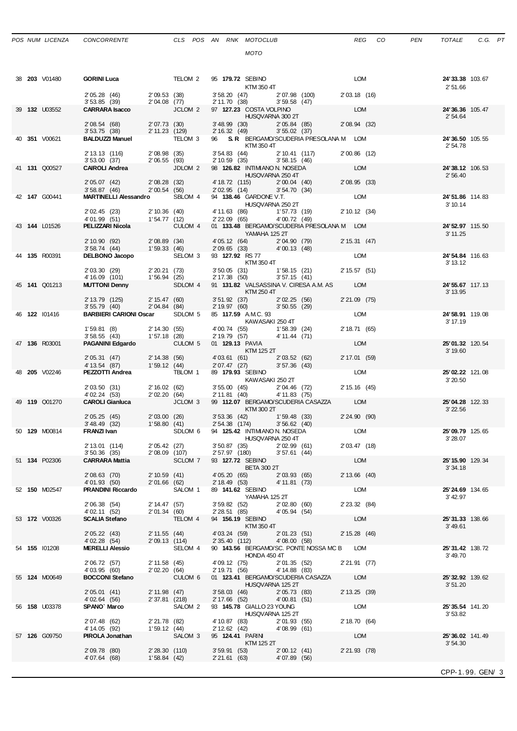|  | 38 <b>203</b> V01480 | <b>GORINI Luca</b>                                                                        |                                                  | TELOM 2            |                 | 95 179.72 SEBINO<br>KTM 350 4T                                  |               |                                                                              | LOM            | 24'33.38 103.67<br>2'51.66   |  |
|--|----------------------|-------------------------------------------------------------------------------------------|--------------------------------------------------|--------------------|-----------------|-----------------------------------------------------------------|---------------|------------------------------------------------------------------------------|----------------|------------------------------|--|
|  |                      | 2' 05.28 (46)<br>3'53.85(39)                                                              | 2′04.08 (77)<br>JCLO                             | 2'09.53(38)        |                 | 3' 58.20 (47) 2' 07.98 (100)<br>2' 11.70 (38) 3' 59.58 (47)     |               |                                                                              | 2'03.18 (16)   |                              |  |
|  | 39 <b>132</b> U03552 | <b>CARRARA Isacco</b>                                                                     |                                                  | JCLOM <sub>2</sub> |                 | 97 127.23 COSTA VOLPINO<br>HUSQVARNA 300 2T                     |               |                                                                              | LOM            | 24'36.36 105.47<br>2' 54.64  |  |
|  |                      | 2'08.54 (68) 2'07.73 (30)<br>3'53.75(38)                                                  | 2' 11.23 (129)                                   |                    |                 | 3' 48.99 (30) 2' 05.84 (85)<br>2' 16.32 (49) 3' 55.02 (37)      |               |                                                                              | 2'08.94 (32)   |                              |  |
|  | 40 351 V00621        | <b>BALDUZZI Manuel TELOM 3</b>                                                            |                                                  |                    |                 | KTM 350 4T                                                      |               | 96 S.R. BERGAMO/SCUDERIA PRESOLANA M LOM                                     |                | 24'36.50 105.55<br>2'54.78   |  |
|  |                      | 2' 13.13 (116) 2' 08.98 (35)<br>3' 53.00 (37) 2' 06.55 (93)<br><b>CAIROLI Andrea</b> JDLC |                                                  |                    |                 | 3' 54.83 (44) 2' 10.41 (117)<br>2' 10.59 (35) 3' 58.15 (46)     |               |                                                                              | 2'00.86 (12)   |                              |  |
|  | 41 131 Q00527        |                                                                                           |                                                  | JDLOM <sub>2</sub> |                 | 98 126.82 INTIMIANO N. NOSEDA                                   |               |                                                                              | LOM            | 24'38.12 106.53              |  |
|  |                      | 2'05.07 (42) 2'08.28 (32)                                                                 |                                                  |                    |                 | HUSQVARNA 250 4T                                                |               | 4'18.72 (115) $2'00.04$ (40) $2'08.95$ (33)<br>$2'02.95$ (14) $3'54.70$ (34) |                | 2'56.40                      |  |
|  | 42 147 G00441        | 3'58.87(46)<br><b>MARTINELLI Alessandro</b>                                               | 2'00.54(56)                                      | SBLOM 4            |                 |                                                                 |               | 94 138.46 GARDONE V.T. LOM                                                   |                | 24'51.86 114.83              |  |
|  |                      | 2' 02.45 (23)                                                                             |                                                  |                    |                 | HUSQVARNA 250 2T                                                |               |                                                                              | 2' 10.12 (34)  | 3' 10.14                     |  |
|  | 43 144 L01526        | 4'01.99 (51)<br>PELIZZARI Nicola                                                          | 2' 10.36 (40)<br>1' 54.77 (12)                   | CULOM 4            |                 | 4'11.63 (86) 1'57.73 (19)<br>2'22.09 (65) 4'00.72 (49)          |               | 01 133.48 BERGAMO/SCUDERIA PRESOLANA M LOM                                   |                | 24' 52.97 115.50             |  |
|  |                      | 2' 10.90 (92) 2' 08.89 (34)                                                               |                                                  |                    |                 | YAMAHA 125 2T                                                   |               | 4' 05.12 (64) 2' 04.90 (79) 2' 15.31 (47)                                    |                | 3' 11.25                     |  |
|  |                      | 3'58.74(44)                                                                               | 1'59.33(46)                                      |                    |                 | 2' 09.65 (33) 4' 00.13 (48)                                     |               |                                                                              |                |                              |  |
|  | 44 135 R00391        | DELBONO Jacopo SELOM 3                                                                    |                                                  |                    | 93 127.92 RS 77 | KTM 350 4T                                                      |               |                                                                              | LOM            | 24'54.84 116.63<br>3' 13.12  |  |
|  |                      | 2' 03.30 (29) 2' 20.21 (73)<br>4' 16.09 (101) 1' 56.94 (25)                               |                                                  |                    |                 | 3'50.05 (31) 1'58.15 (21)<br>2' 17.38 (50)                      | 3'57.15(41)   |                                                                              | 2' 15.57 (51)  |                              |  |
|  | 45 141 Q01213        | <b>MUTTONI Denny</b>                                                                      |                                                  | SDLOM 4            |                 | KTM 250 4T                                                      |               | 91 131.82 VALSASSINA V. CIRESA A.M. AS LOM                                   |                | 24' 55.67 117.13<br>3' 13.95 |  |
|  |                      | 2' 13.79 (125) 2' 15.47 (60)<br>3' 55.79 (40) 2' 04.84 (84)                               |                                                  |                    |                 | 3' 51.92 (37) 2' 02.25 (56)<br>2' 19.97 (60) 3' 50.55 (29)      |               |                                                                              | 2'21.09 (75)   |                              |  |
|  | 46 122 101416        | <b>BARBIERI CARIONI Oscar</b>                                                             |                                                  | SDLOM 5            |                 | 85 117.59 A.M.C. 93<br>KAWASAKI 250 4T                          |               |                                                                              | LOM            | 24'58.91 119.08<br>3' 17.19  |  |
|  |                      | 1'59.81(8)                                                                                | 2' 14.30 (55)                                    |                    |                 | 4'00.74 (55) 1'58.39 (24)<br>2'19.79 (57) 4'11.44 (71)          |               |                                                                              | 2' 18.71 (65)  |                              |  |
|  | 47 136 R03001        | 3'58.55(43)<br><b>PAGANINI Edgardo</b>                                                    | 1'57.18(28)                                      | CULOM <sub>5</sub> | 01 129.13 PAVIA |                                                                 |               |                                                                              | LOM            | 25'01.32 120.54              |  |
|  |                      | 2'05.31(47)                                                                               | 2' 14.38 (56)                                    |                    |                 | KTM 125 2T<br>4'03.61 (61) 2'03.52 (62)                         |               |                                                                              | 2' 17.01 (59)  | 3' 19.60                     |  |
|  | 48 <b>205</b> V02246 | 4' 13.54 (87)<br><b>PEZZOTTI Andrea</b> TBLOM 1                                           | 1'59.12(44)                                      |                    |                 | 2' 07.47 (27) 3' 57.36 (43)<br>89 179.93 SEBINO                 |               |                                                                              | LOM            | 25'02.22 121.08              |  |
|  |                      | 2'03.50 (31) 2'16.02 (62)                                                                 |                                                  |                    |                 | KAWASAKI 250 2T<br>3' 55.00 (45) 2' 04.46 (72)                  |               |                                                                              | 2' 15.16 (45)  | 3' 20.50                     |  |
|  | 49 119 Q01270        | 4' 02.24 (53)<br><b>CAROLI Gianluca</b>                                                   | 2'02.20(64)                                      | JCLOM 3            |                 | $2'11.81$ (40) $4'11.83$ (75)                                   |               | 99 112.07 BERGAMO/SCUDERIA CASAZZA LOM                                       |                | 25'04.28 122.33              |  |
|  |                      |                                                                                           |                                                  |                    |                 | KTM 300 2T                                                      |               |                                                                              | $2'24.90$ (90) | 3'22.56                      |  |
|  |                      | 2' 05.25 (45)<br>3' 48.49 (32) 1' 58.80 (41)                                              |                                                  | 2'03.00 (26)       |                 | 3' 53.36 (42)   1' 59.48 (33)<br>2' 54.38 (174)   3' 56.62 (40) |               |                                                                              |                |                              |  |
|  | 50 129 M00814        | FRANZI Ivan                                                                               |                                                  | SDLOM 6            |                 | 94 125.42 INTIMIANO N. NOSEDA<br>HUSQVARNA 250 4T               |               |                                                                              | LOM            | 25'09.79 125.65<br>3'28.07   |  |
|  |                      | 2' 13.01 (114)<br>$3'50.36$ (35)                                                          | $2'05.42$ (27)<br>2'08.09 (107)<br>2'08.09 (107) |                    |                 | 3' 50.87 (35) 2' 02.99 (61)<br>2' 57.97 (180) 3' 57.61 (44)     |               |                                                                              | 2' 03.47 (18)  |                              |  |
|  | 51 134 P02306        | CARRARA Mattia                                                                            |                                                  | SCLOM 7            |                 | 93 127.72 SEBINO<br><b>BETA 300 2T</b>                          |               |                                                                              | LOM            | 25' 15.90 129.34<br>3'34.18  |  |
|  |                      | 2'08.63 (70)<br>4'01.93 (50)                                                              | 2'01.66(62)                                      | 2' 10.59 (41)      |                 | 4'05.20 (65) 2'03.93 (65)<br>2' 18.49 (53) 4' 11.81 (73)        |               |                                                                              | $2'13.66$ (40) |                              |  |
|  | 52 <b>150</b> M02547 | <b>PRANDINI Riccardo SALOM 1</b>                                                          |                                                  |                    |                 | 89 141.62 SEBINO<br>YAMAHA 125 2T                               |               |                                                                              | LOM            | 25'24.69 134.65<br>3' 42.97  |  |
|  |                      | 2'06.38(54)                                                                               | 2' 14.47 (57)                                    |                    |                 | 3' 59.82 (52) 2' 02.80 (60)                                     | 4'05.94 (54)  |                                                                              | 2' 23.32 (84)  |                              |  |
|  | 53 <b>172</b> V00326 | 4' 02.11 (52)<br><b>SCALIA Stefano</b>                                                    | 2'01.34(60)                                      | TELOM 4            | 2' 28.51 (85)   | 94 156.19 SEBINO                                                |               |                                                                              | LOM            | 25'31.33 138.66              |  |
|  |                      | 2' 05.22 (43)                                                                             | 2' 11.55 (44)                                    |                    | 4' 03.24 (59)   | KTM 350 4T                                                      | 2'01.23(51)   |                                                                              | 2' 15.28 (46)  | 3' 49.61                     |  |
|  | 54 155 101208        | 4'02.28 (54)<br><b>MERELLI Alessio</b>                                                    | 2'09.13 (114)                                    | SELOM 4            |                 | $2'35.40$ (112) $4'08.00$ (58)                                  |               | 90 143.56 BERGAMO/SC. PONTE NOSSA MC B LOM                                   |                | 25'31.42 138.72              |  |
|  |                      | 2' 06.72 (57)                                                                             | 2' 11.58 (45)                                    |                    |                 | HONDA 450 4T<br>4' 09.12 (75)                                   | 2'01.35 (52)  |                                                                              | 2'21.91 (77)   | 3'49.70                      |  |
|  | 55 124 M00649        | 4'03.95 (60)<br><b>BOCCONI Stefano</b>                                                    | 2'02.20(64)                                      | CULOM 6            |                 | 2' 19.71 (56)                                                   | 4' 14.88 (83) | 01 123.41 BERGAMO/SCUDERIA CASAZZA LOM                                       |                | 25'32.92 139.62              |  |
|  |                      | 2' 05.01 (41)                                                                             | 2' 11.98 (47)                                    |                    |                 | HUSQVARNA 125 2T                                                |               |                                                                              | 2' 13.25 (39)  | 3'51.20                      |  |
|  |                      | 4'02.64 (56)                                                                              | 2' 37.81 (218)                                   |                    |                 | 3' 58.03 (46) 2' 05.73 (83)<br>2' 17.66 (52) 4' 00.81 (51)      |               |                                                                              |                |                              |  |
|  | 56 <b>158</b> U03378 | SPANO` Marco                                                                              |                                                  | SALOM 2            |                 | 93 145.78 GIALLO 23 YOUNG<br>HUSQVARNA 125 2T                   |               |                                                                              | LOM            | 25'35.54 141.20<br>3'53.82   |  |
|  |                      | 2'07.48 (62)<br>4' 14.05 (92)                                                             | 2'21.78 (82)<br>1'59.12(44)                      |                    |                 | 4' 10.87 (83) 2' 01.93 (55)<br>$2'12.62$ (42) $4'08.99$ (61)    |               |                                                                              | 2' 18.70 (64)  |                              |  |
|  | 57 126 G09750        | PIROLA Jonathan                                                                           |                                                  | SALOM 3            | 95 124.41 PARIN | KTM 125 2T                                                      |               |                                                                              | LOM            | 25'36.02 141.49<br>3'54.30   |  |
|  |                      | 2'09.78 (80)<br>4'07.64 (68)                                                              | 2'28.30 (110)<br>1'58.84 (42)                    |                    | 3'59.91(53)     | 2'21.61 (63) 4'07.89 (56)                                       | 2'00.12(41)   |                                                                              | 2' 21.93 (78)  |                              |  |
|  |                      |                                                                                           |                                                  |                    |                 |                                                                 |               |                                                                              |                |                              |  |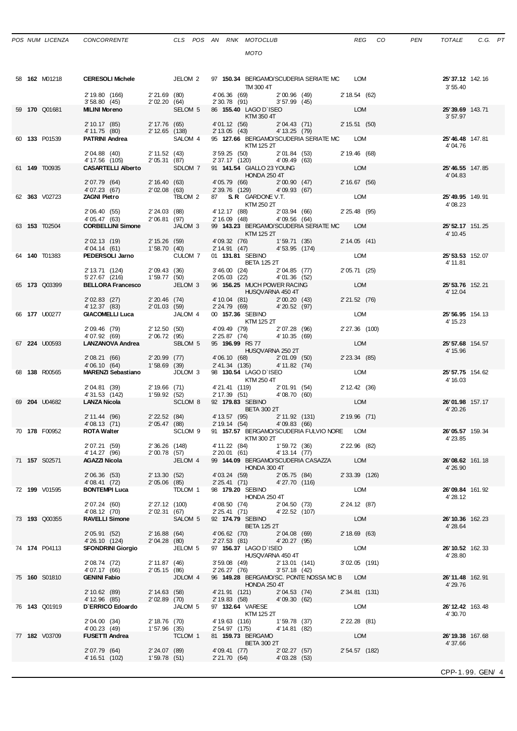| POS NUM LICENZA |  |  | CONCORRE |  |
|-----------------|--|--|----------|--|
|-----------------|--|--|----------|--|

|  | 58 <b>162</b> M01218 | <b>CERESOLI Michele SECOM 2 97 150.34 BERGAMO/SCUDERIA SERIATE MC LOM</b>                                                                                                                                                                                                                               |                |                    |                                     | TM 300 4T                                                                                                        |                                                    | 25' 37.12 142.16<br>3'55.40  |                  |
|--|----------------------|---------------------------------------------------------------------------------------------------------------------------------------------------------------------------------------------------------------------------------------------------------------------------------------------------------|----------------|--------------------|-------------------------------------|------------------------------------------------------------------------------------------------------------------|----------------------------------------------------|------------------------------|------------------|
|  |                      | $\begin{array}{lllllll} 2' \, 19.80 & (166) & \qquad & 2' \, 21.69 & (80) & \qquad & 4' \, 06.36 & (69) & \qquad & 2' \, 00.96 & (49) \\ 3' \, 58.80 & (45) & \qquad & 2' \, 02.20 & (64) & \qquad & 2' \, 30.78 & (91) & \qquad & 3' \, 57.99 & (45) \end{array}$                                      |                |                    |                                     |                                                                                                                  | 2' 18.54 (62)                                      |                              |                  |
|  | 59 170 Q01681        | <b>MILINI Moreno</b>                                                                                                                                                                                                                                                                                    |                |                    |                                     | $2 \text{ V2.20 } \text{ V3.30 }$<br>SELOM 5 86 155.40 LAGO D'ISEO                                               | LOM                                                | 25'39.69 143.71<br>3'57.97   |                  |
|  |                      | $\begin{array}{lllllllllll} 2' \, 10.17 & (85) & \quad 2' \, 17.76 & (65) & \quad 4' \, 01.12 & (56) & \quad 2' \, 04.43 & (71) & \quad 2' \, 15.51 & (50) \\ 4' \, 11.75 & (80) & \quad 2' \, 12.65 & (138) & \quad 2' \, 13.05 & (43) & \quad 4' \, 13.25 & (79) & \quad \end{array}$                 |                |                    |                                     |                                                                                                                  |                                                    |                              |                  |
|  | 60 133 P01539        | <b>PATRINI Andrea</b> SALOM 4                                                                                                                                                                                                                                                                           |                |                    |                                     | 95 127.66 BERGAMO/SCUDERIA SERIATE MC LOM<br>KTM 125 2T                                                          |                                                    | 25'46.48 147.81<br>4'04.76   |                  |
|  |                      | $\begin{array}{lllllllll} 2' \, 04.88 & (40) & \qquad 2' \, 11.52 & (43) & \qquad 3' \, 59.25 & (50) & \qquad 2' \, 01.84 & (53) & \qquad 2' \, 19.46 & (68) \\ 4' \, 17.56 & (105) & \qquad 2' \, 05.31 & (87) & \qquad 2' \, 37.17 & (120) & \qquad 4' \, 09.49 & (63) & \qquad \end{array}$          |                |                    |                                     |                                                                                                                  |                                                    |                              |                  |
|  | 61 149 T00935        | CASARTELLI Alberto SDLOM 7 91 141.54 GIALLO 23 YOUNG                                                                                                                                                                                                                                                    |                |                    |                                     |                                                                                                                  | <b>LOM</b>                                         | 25' 46.55 147.85<br>4'04.83  |                  |
|  |                      | 2 07.79 (64) 2 16.40 (63) 4 05.79 (66) 2 00.90 (47) 2 16.67 (56)<br>4 07.23 (67) 2 02.08 (63) 2 39.76 (129) 4 09.93 (67)                                                                                                                                                                                |                |                    |                                     |                                                                                                                  |                                                    |                              |                  |
|  | 62 363 V02723        | <b>ZAGNI Pietro</b>                                                                                                                                                                                                                                                                                     |                |                    |                                     | TBLOM 2 87 S.R. GARDONE V.T.<br>KTM 250 2T                                                                       | LOM                                                | 25' 49.95 149.91<br>4'08.23  |                  |
|  |                      | 2'06.40 (55) 2'24.03 (88)<br>4'05.47 (63) 2'06.81 (97)                                                                                                                                                                                                                                                  |                |                    |                                     | 4'12.17 (88) 2'03.94 (66) 2'25.48 (95)<br>$2'16.09$ (48) $4'09.56$ (64)                                          |                                                    |                              |                  |
|  | 63 153 T02504        | <b>CORBELLINI Simone</b> JALOM 3                                                                                                                                                                                                                                                                        |                |                    | <b>EXTM 125 2T</b>                  | 99 143.23 BERGAMO/SCUDERIA SERIATE MC LOM                                                                        |                                                    | 25' 52.17 151.25<br>4' 10.45 |                  |
|  |                      | 2'02.13 (19) 2'15.26 (59) 4'09.32 (76) 1'59.71 (35)<br>4'04.14 (61) 1'58.70 (40) 2'14.91 (47) 4'53.95 (174)                                                                                                                                                                                             |                |                    |                                     |                                                                                                                  | 2'14.05(41)                                        |                              |                  |
|  | 64 140 T01383        | <b>PEDERSOLI Jarno</b> CULOM 7                                                                                                                                                                                                                                                                          |                |                    |                                     | 01 131.81 SEBINO<br><b>BETA 125 2T</b>                                                                           | LOM                                                | 25' 53.53 152.07<br>4' 11.81 |                  |
|  |                      | 2' 13.71 (124) 2' 09.43 (36)<br>5' 27.67 (216) 1' 59.77 (50)<br><b>BELLORA Francesco</b> JELOM 3                                                                                                                                                                                                        |                |                    |                                     | 3'46.00 (24) 2'04.85 (77)<br>$2'05.03$ $(22)$ $4'01.36$ $(52)$                                                   | 2' 05.71 (25)                                      |                              |                  |
|  | 65 173 Q03399        |                                                                                                                                                                                                                                                                                                         |                |                    |                                     | 96 156.25 MUCH POWER RACING<br>HUSQVARNA 450 4T                                                                  | LOM                                                | 25' 53.76 152.21<br>4' 12.04 |                  |
|  |                      | 2'02.83 (27) 2'20.46 (74) 4'10.04 (81) 2'00.20 (43)<br>4'12.37 (83) 2'01.03 (59) 2'24.79 (69) 4'20.52 (97)                                                                                                                                                                                              |                |                    |                                     |                                                                                                                  | 2' 21.52 (76)                                      |                              |                  |
|  | 66 177 U00277        | GIACOMELLI Luca JALOM 4                                                                                                                                                                                                                                                                                 |                |                    | 00 157.36 SEBINO                    | $KTM$ 125 2T                                                                                                     | LOM                                                | 25' 56.95 154.13<br>4' 15.23 |                  |
|  |                      | 2' 09.46 (79) 2' 12.50 (50)<br>4' 07.92 (69) 2' 06.72 (95)                                                                                                                                                                                                                                              |                |                    |                                     | 4'09.49 (79) 2'07.28 (96)<br>2'25.87 (74) 4'10.35 (69)                                                           | 2'27.36 (100)                                      |                              |                  |
|  | 67 224 U00593        | LANZANOVA Andrea SBLOM 5                                                                                                                                                                                                                                                                                |                |                    | 95 196.99 RS 77                     | HUSQVARNA 250 2T                                                                                                 | LOM                                                | 25' 57.68 154.57             |                  |
|  |                      | 2'08.21 (66) 2'20.99 (77)                                                                                                                                                                                                                                                                               |                |                    |                                     | 4'06.10 (68) 2'01.09 (50)<br>2'41.34 (135) 4'11.82 (74)                                                          | 2' 23.34 (85)                                      | 4' 15.96                     |                  |
|  | 68 138 R00565        | 4'06.10 (64)<br>MARENZI Sebastiano JDLOM 3                                                                                                                                                                                                                                                              |                | 1'58.69(39)        |                                     | 98 130.54 LAGO D'ISEO                                                                                            | <b>LOM</b>                                         | 25' 57.75 154.62             |                  |
|  |                      | 2'04.81 (39)                                                                                                                                                                                                                                                                                            |                |                    |                                     | <b>KTM 250 4T</b><br>2' 19.66 (71)  4' 21.41 (119)  2' 01.91 (54)<br>1' 59.92 (52)  2' 17.39 (51)  4' 08.70 (60) | 2' 12.42 (36)                                      | 4' 16.03                     |                  |
|  | 69 204 U04682        | 4'31.53 (142)<br><b>LANZA Nicola</b>                                                                                                                                                                                                                                                                    |                | SCLOM 8            |                                     | 92 179.83 SEBINO                                                                                                 | LOM                                                | 26'01.98 157.17              |                  |
|  |                      | $\begin{array}{lllllllllll} 2' \ 11.44 & (96) & \quad & 2' \ 22.52 & (84) & \quad & 4' \ 13.57 & (95) & \quad & 2' \ 11.92 & (131) & \quad & 2' \ 19.96 & (71) & \quad & 4' \ 08.13 & (71) & \quad & 2' \ 05.47 & (88) & \quad & 2' \ 19.14 & (54) & \quad & 4' \ 09.83 & (66) & \quad & & \end{array}$ |                |                    |                                     | <b>BETA 300 2T</b>                                                                                               |                                                    | 4' 20.26                     |                  |
|  | 70 178 F00952        | <b>ROTA Walter</b>                                                                                                                                                                                                                                                                                      |                |                    |                                     |                                                                                                                  | SCLOM 9 91 157.57 BERGAMO/SCUDERIA FULVIO NORE LOM | 26'05.57 159.34              |                  |
|  |                      | 2' 07.21 (59)                                                                                                                                                                                                                                                                                           |                | 2' 36.26 (148)     |                                     | KTM 300 2T<br>4' 11.22 (84) 1' 59.72 (36)                                                                        | 2' 22.96 (82)                                      | 4'23.85                      |                  |
|  | 71 <b>157</b> S02571 | 4' 14.27 (96)<br><b>AGAZZI Nicola</b>                                                                                                                                                                                                                                                                   | 2'00.78(57)    | JELOM 4            | 2'20.01(61)                         | 4' 13.14 (77)<br>99 144.09 BERGAMO/SCUDERIA CASAZZA                                                              | LOM                                                | 26'08.62 161.18              |                  |
|  |                      | 2'06.36(53)                                                                                                                                                                                                                                                                                             |                | 2' 13.30 (52)      | 4' 03.24 (59)                       | HONDA 300 4T<br>2'05.75 (84)                                                                                     | 2' 33.39 (126)                                     | 4'26.90                      |                  |
|  | 72 199 V01595        | 4' 08.41 (72)<br><b>BONTEMPI Luca</b>                                                                                                                                                                                                                                                                   | 2'05.06 (85)   | TDLOM 1            | 2' 25.41 (71)<br>98 179.20 SEBINO   | 4'27.70(116)                                                                                                     | LOM                                                | 26'09.84 161.92              |                  |
|  |                      | 2'07.24 (60)                                                                                                                                                                                                                                                                                            | 2' 27.12 (100) |                    | 4'08.50 (74)                        | HONDA 250 4T<br>2'04.50(73)                                                                                      | 2' 24.12 (87)                                      | 4' 28.12                     |                  |
|  | 73 193 Q00355        | 4'08.12 (70)<br><b>RAVELLI Simone</b>                                                                                                                                                                                                                                                                   | 2'02.31 (67)   | SALOM 5            | 2' 25.41 (71)<br>92 174.79 SEBINO   | 4'22.52 (107)                                                                                                    | LOM                                                | 26'10.36 162.23              |                  |
|  |                      | 2' 05.91 (52)                                                                                                                                                                                                                                                                                           | 2' 16.88 (64)  |                    | 4'06.62 (70)                        | <b>BETA 125 2T</b><br>2'04.08 (69)                                                                               | 2' 18.69 (63)                                      | 4'28.64                      |                  |
|  | 74 174 P04113        | 4' 26.10 (124)<br><b>SFONDRINI Giorgio</b>                                                                                                                                                                                                                                                              | 2'04.28(80)    | JELOM 5            | $2'27.53$ (81)                      | 4'20.27 (95)<br>97 156.37 LAGO D'ISEO                                                                            | LOM                                                | 26'10.52 162.33              |                  |
|  |                      | 2' 08.74 (72)                                                                                                                                                                                                                                                                                           | 2' 11.87 (46)  |                    | $3'59.08$ (49)                      | HUSQVARNA 450 4T<br>2' 13.01 (141)                                                                               | $3'02.05$ (191)                                    | 4' 28.80                     |                  |
|  | 75 <b>160</b> S01810 | 4'07.17 (66)<br><b>GENINI Fabio</b>                                                                                                                                                                                                                                                                     | 2'05.15(86)    | JDLOM 4            | 2'26.27(76)                         | 3'57.18(42)<br>96 149.28 BERGAMO/SC. PONTE NOSSA MC B LOM                                                        |                                                    | 26'11.48 162.91              |                  |
|  |                      | 2' 10.62 (89)                                                                                                                                                                                                                                                                                           | 2' 14.63 (58)  |                    | 4'21.91 (121)                       | <b>HONDA 250 4T</b><br>2'04.53 (74)                                                                              | 2' 34.81 (131)                                     | 4' 29.76                     |                  |
|  | 76 143 Q01919        | 4' 12.96 (85)<br>D'ERRICO Edoardo                                                                                                                                                                                                                                                                       | 2'02.89(70)    | JALOM 5            | 2' 19.83 (58)<br>97 132.64 VARESE   | 4'09.30 (62)                                                                                                     | LOM                                                | 26' 12.42 163.48             |                  |
|  |                      | 2'04.00 (34)                                                                                                                                                                                                                                                                                            | 2' 18.76 (70)  |                    | 4' 19.63 (116)                      | KTM 125 2T<br>1'59.78 (37)                                                                                       | 2' 22.28 (81)                                      | 4' 30.70                     |                  |
|  | 77 182 V03709        | 4'00.23 (49)<br><b>FUSETTI Andrea</b>                                                                                                                                                                                                                                                                   | 1'57.96(35)    | TCLOM <sub>1</sub> | 2' 54.97 (175)<br>81 159.73 BERGAMO | 4'14.81 (82)                                                                                                     | LOM                                                | 26'19.38 167.68              |                  |
|  |                      | 2'07.79 (64)                                                                                                                                                                                                                                                                                            | 2' 24.07 (89)  |                    | 4' 09.41 (77)                       | <b>BETA 300 2T</b><br>2' 02.27 (57)                                                                              | 2' 54.57 (182)                                     | 4'37.66                      |                  |
|  |                      | 4' 16.51 (102)                                                                                                                                                                                                                                                                                          | 1'59.78(51)    |                    | 2' 21.70 (64)                       | 4'03.28 (53)                                                                                                     |                                                    |                              |                  |
|  |                      |                                                                                                                                                                                                                                                                                                         |                |                    |                                     |                                                                                                                  |                                                    |                              | CPP-1.99. GEN/ 4 |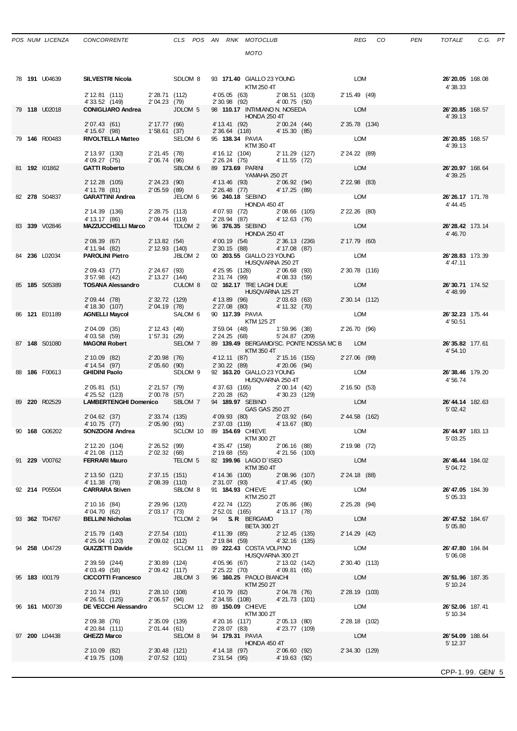|--|

|  | 78 191 U04639 |                                                                                                                                                                                                             |                                 |               | KTM 250 4T                                                              |                                      |                 | 26'20.05 168.08<br>4'38.33   |  |
|--|---------------|-------------------------------------------------------------------------------------------------------------------------------------------------------------------------------------------------------------|---------------------------------|---------------|-------------------------------------------------------------------------|--------------------------------------|-----------------|------------------------------|--|
|  |               |                                                                                                                                                                                                             |                                 |               |                                                                         |                                      | 2' 15.49 (49)   |                              |  |
|  | 79 118 U02018 | 2' 12.81 (111) 2' 28.71 (112) 4' 05.05 (63) 2' 08.51 (103)<br>4' 33.52 (149) 2' 04.23 (79) 2' 30.98 (92) 4' 00.75 (50)<br><b>CONIGLIARO Andrea</b> JDLOM 5 98 110.17 INTIMANO N. NOSEDA                     |                                 |               |                                                                         |                                      | LOM             | 26'20.85 168.57<br>4' 39.13  |  |
|  |               | HONDA 250 4T<br>2' 07.43 (61) 2' 17.77 (66) 4' 13.41 (92) 2' 00.24 (44)<br>4' 15.67 (98) 1' 58.61 (37) 2' 36.64 (118) 4' 15.30 (85)<br>RIVOLTELLA Matteo SELOM 6 95 138.34 PAVIA                            |                                 |               |                                                                         |                                      | 2' 35.78 (134)  |                              |  |
|  | 79 146 R00483 |                                                                                                                                                                                                             |                                 |               |                                                                         | KTM 350 4T                           | LOM             | 26'20.85 168.57<br>4'39.13   |  |
|  |               |                                                                                                                                                                                                             |                                 |               |                                                                         |                                      | 2' 24.22 (89)   |                              |  |
|  | 81 192 101862 | 2' 13.97 (130) 2' 21.45 (78) 4' 16.12 (104) 2' 11.29 (127)<br>4' 09.27 (75) 2' 06.74 (96) 2' 26.24 (75) 4' 11.55 (72)<br><b>GATTI Roberto</b> SBLOM 6 89 <b>173.69</b> PARIN                                |                                 |               | YAMAHA 250 2T                                                           |                                      | LOM             | 26'20.97 168.64<br>4' 39.25  |  |
|  |               | 2' 12.28 (105) 2' 24.23 (90)<br>4' 11.78 (81) 2' 05.59 (89)                                                                                                                                                 |                                 |               | 4' 13.46 (93) 2' 06.92 (94)<br>2' 26.48 (77) 4' 17.25 (89)              |                                      | 2' 22.98 (83)   |                              |  |
|  | 82 278 S04837 | GARATTINI Andrea JELOM 6                                                                                                                                                                                    |                                 |               | 96 240.18 SEBINO<br>HONDA 450 4T                                        |                                      | LOM             | 26'26.17 171.78<br>4' 44.45  |  |
|  |               | 2' 14.39 (136) 2' 28.75 (113)                                                                                                                                                                               |                                 |               | 4'07.93 (72) 2'08.66 (105)                                              |                                      | 2' 22.26 (80)   |                              |  |
|  | 83 339 V02846 | 4' 13.17 (86)<br>MAZZUCCHELLI Marco TDLOM 2                                                                                                                                                                 |                                 | 2'09.44 (119) | $2'28.94$ (87) $4'12.63$ (76)<br>96 376.35 SEBINO                       |                                      | LOM             | 26' 28.42 173.14             |  |
|  |               |                                                                                                                                                                                                             |                                 |               | HONDA 250 4T                                                            |                                      |                 | 4' 46.70                     |  |
|  |               | 2'08.39 (67) 2'13.82 (54) 4'00.19 (54) 2'36.13 (236)<br>4'11.94 (82) 2'12.93 (140) 2'30.15 (88) 4'17.08 (87)                                                                                                |                                 |               |                                                                         |                                      | 2' 17.79 (60)   |                              |  |
|  | 84 236 L02034 |                                                                                                                                                                                                             |                                 |               |                                                                         |                                      | LOM             | 26'28.83 173.39              |  |
|  |               | HUSQVARNA 250 2T<br>2' 09.43 (77) 2' 24.67 (93) 4' 25.95 (128) 2' 06.68 (93)<br>3' 57.98 (42) 2' 13.27 (144) 2' 31.74 (99) 4' 08.33 (59)<br><b>TOSANA Alessandro</b> CULOM 8 02 <b>162.17</b> TRE LAGHI DUE |                                 |               |                                                                         |                                      | 2' 30.78 (116)  | 4' 47.11                     |  |
|  |               |                                                                                                                                                                                                             |                                 |               |                                                                         |                                      |                 |                              |  |
|  | 85 185 S05389 |                                                                                                                                                                                                             |                                 |               |                                                                         | HUSQVARNA 125 2T                     | LOM             | 26'30.71 174.52<br>4' 48.99  |  |
|  |               |                                                                                                                                                                                                             |                                 |               |                                                                         |                                      | 2' 30.14 (112)  |                              |  |
|  | 86 121 E01189 | 2 09.44 (78) 2 32.72 (129) 4 13.89 (96) 2 03.63 (63)<br>4 18.30 (107) 2 04.19 (78) 2 27.08 (80) 4 11.32 (70)<br><b>AGNELLI Maycol</b> SALOM 6 90 <b>117.39</b> PAVIA                                        |                                 |               |                                                                         |                                      | LOM             | 26'32.23 175.44              |  |
|  |               |                                                                                                                                                                                                             |                                 |               | <b>KTM 125 2T</b>                                                       |                                      |                 | 4'50.51                      |  |
|  |               | 2' 04.09 (35) 2' 12.43 (49)<br>4' 03.58 (59) 1' 57.31 (29)                                                                                                                                                  |                                 |               | 3' 59.04 (48)    1' 59.96 (38)<br>2' 24.25 (68)    5' 24.87 (209)       |                                      | 2' 26.70 (96)   |                              |  |
|  | 87 148 S01080 | A U3.50 (U3)<br>MAGONI Robert SELOM 7                                                                                                                                                                       |                                 |               | 89 139.49 BERGAMO/SC. PONTE NOSSA MC B LOM                              |                                      |                 | 26'35.82 177.61              |  |
|  |               |                                                                                                                                                                                                             |                                 |               | <b>EXTM 350 4T</b><br>4'12.11 (87) 2'15.16 (155) 2'27.06 (99)           |                                      |                 | 4'54.10                      |  |
|  | 88 186 F00613 | 2' 10.09 (82) 2' 20.98 (76)<br>4' 14.54 (97) 2' 05.60 (90)<br><b>GHIDINI Paolo</b>                                                                                                                          |                                 |               | 2' 30.22 (89) 4' 20.06 (94)                                             |                                      |                 | 26'38.46 179.20              |  |
|  |               |                                                                                                                                                                                                             |                                 |               | <b>HUSQVARNA 250 4T</b>                                                 |                                      | 2' 16.50 (53)   | 4' 56.74                     |  |
|  |               | 2'05.81 (51) 2'21.57 (79) 4'37.63 (165) 2'00.14 (42)<br>4'25.52 (123) 2'00.78 (57) 2'20.28 (62) 4'30.23 (129)                                                                                               |                                 |               |                                                                         |                                      |                 |                              |  |
|  | 89 220 R02529 | LAMBERTENGHI Domenico SBLOM 7 94 189.97 SEBINO                                                                                                                                                              |                                 |               | <b>GAS GAS 250 2T</b>                                                   |                                      | LOM             | 26'44.14 182.63<br>5' 02.42  |  |
|  |               | 2'04.62 (37) 2'33.74 (135) 4'09.93 (80) 2'32 (64)<br>4'10.75 (77) 2'05.90 (91) 2'37.03 (119) 4'13.67 (80)                                                                                                   |                                 |               |                                                                         |                                      | 2' 44.58 (162)  |                              |  |
|  | 90 168 G06202 | SONZOGNI Andrea SCLOM 10 89 154.69 CHIEVE                                                                                                                                                                   |                                 |               |                                                                         |                                      | LOM             | 26'44.97 183.13              |  |
|  |               |                                                                                                                                                                                                             |                                 |               | KTM 300 2T                                                              |                                      |                 | 5'03.25                      |  |
|  |               | 2' 12.20 (104)<br>4'21.08 (112)                                                                                                                                                                             | 2'02.32(68)                     |               | 2'26.52 (99) 4'35.47 (158) 2'06.16 (88)<br>2' 19.68 (55) 4' 21.56 (100) |                                      | 2' 19.98 (72)   |                              |  |
|  | 91 229 V00762 | <b>FERRARI Mauro</b>                                                                                                                                                                                        |                                 | TELOM 5       | 82 199.96 LAGO D'ISEO<br>KTM 350 4T                                     |                                      | LOM             | 26'46.44 184.02<br>5'04.72   |  |
|  |               | 2' 13.50 (121)                                                                                                                                                                                              | $2'37.15$ (151)                 |               | 4' 14.36 (100)                                                          | 2'08.96 (107)                        | 2' 24.18 (88)   |                              |  |
|  | 92 214 P05504 | 4' 11.38 (78)<br><b>CARRARA Stiven</b>                                                                                                                                                                      | 2'08.39 (110)                   | SBLOM 8       | 2' 31.07 (93) 4' 17.45 (90)<br>91 184.93 CHIEVE                         |                                      | LOM             | 26'47.05 184.39              |  |
|  |               |                                                                                                                                                                                                             |                                 |               | KTM 250 2T                                                              |                                      |                 | 5' 05.33                     |  |
|  |               | 2' 10.16 (84)<br>4'04.70 (62)                                                                                                                                                                               | 2'29.96 (120)<br>2' 03.17 (73)  |               | 4' 22.74 (122)<br>2' 52.01 (165)                                        | 2'05.86(86)<br>4' 13.17 (78)         | $2' 25.28$ (94) |                              |  |
|  | 93 362 T04767 | <b>BELLINI Nicholas</b>                                                                                                                                                                                     |                                 | TCLOM 2       | 94 S.R. BERGAMO                                                         |                                      | LOM             | 26' 47.52 184.67             |  |
|  |               | 2' 15.79 (140)                                                                                                                                                                                              | 2' 27.54 (101)                  |               | 4' 11.39 (85)                                                           | <b>BETA 300 2T</b><br>2' 12.45 (135) | 2' 14.29 (42)   | 5'05.80                      |  |
|  |               | 4'25.04 (120)<br><b>GUIZZETTI Davide</b>                                                                                                                                                                    | 2'09.02 (112)                   | SCLOM 11      | 2' 19.84 (59)                                                           | 4'32.16 (135)                        | LOM             |                              |  |
|  | 94 258 U04729 |                                                                                                                                                                                                             |                                 |               | 89 222.43 COSTA VOLPINO                                                 | HUSQVARNA 300 2T                     |                 | 26'47.80 184.84<br>5'06.08   |  |
|  |               | 2' 39.59 (244)<br>4'03.49 (58)                                                                                                                                                                              | 2' 30.89 (124)<br>2'09.42 (117) |               | 4'05.96 (67)<br>$2'25.22$ (70)                                          | 2' 13.02 (142)<br>4'09.81(65)        | 2' 30.40 (113)  |                              |  |
|  | 95 183 100179 | <b>CICCOTTI Francesco</b>                                                                                                                                                                                   |                                 | JBLOM 3       | 96 160.25 PAOLO BIANCHI                                                 |                                      | LOM             | 26'51.96 187.35              |  |
|  |               | 2' 10.74 (91)                                                                                                                                                                                               | 2' 28.10 (108)                  |               | KTM 250 2T<br>4' 10.79 (82)                                             | 2'04.78 (76)                         | 2' 28.19 (103)  | 5' 10.24                     |  |
|  |               | 4' 26.51 (125)                                                                                                                                                                                              | 2'06.57(94)                     |               | 2' 34.55 (108)                                                          | <u>an</u><br>4'21.73 (101)           |                 |                              |  |
|  | 96 161 M00739 | DE VECCHI Alessandro SCLOM 12 89 150.09 CHIEVE                                                                                                                                                              |                                 |               | KTM 300 2T                                                              |                                      | LOM             | 26' 52.06 187.41<br>5' 10.34 |  |
|  |               | 2' 09.38 (76)                                                                                                                                                                                               | 2' 35.09 (139)                  |               | 4' 20.16 (117)                                                          | 2'05.13(80)                          | 2' 28.18 (102)  |                              |  |
|  | 97 200 L04438 | 4'20.84 (111)<br><b>GHEZZI Marco</b>                                                                                                                                                                        | 2'01.44(61)                     | SELOM 8       | 2' 28.07 (83)<br>94 179.31 PAVIA                                        | 4'23.77 (109)                        | LOM             | 26'54.09 188.64              |  |
|  |               |                                                                                                                                                                                                             |                                 |               |                                                                         | HONDA 450 4T                         |                 | 5' 12.37                     |  |
|  |               | 2' 10.09 (82)<br>4' 19.75 (109)                                                                                                                                                                             | 2'30.48 (121)<br>2'07.52 (101)  |               | 4' 14.18 (97)<br>2' 31.54 (95) 4' 19.63 (92)                            | 2'06.60(92)                          | 2' 34.30 (129)  |                              |  |
|  |               |                                                                                                                                                                                                             |                                 |               |                                                                         |                                      |                 |                              |  |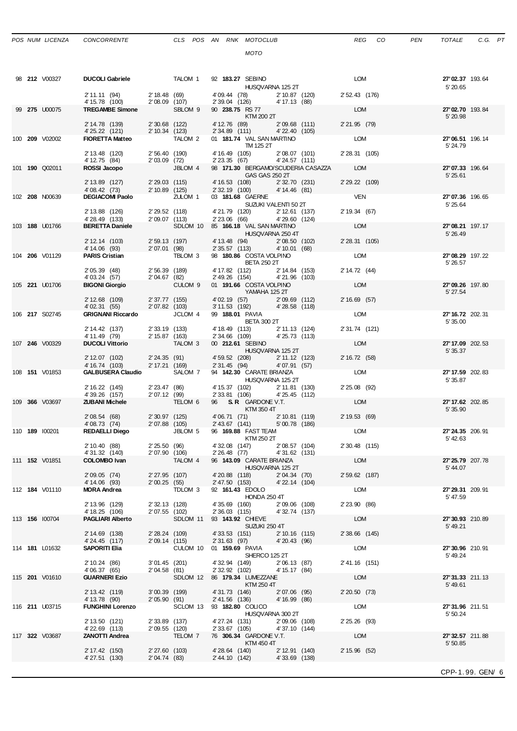|  | 98 <b>212</b> V00327  | <b>DUCOLI Gabriele</b><br>2' 11.11 (94) 2' 18.48 (69) |                                  | TALOM 1            | 92 183.27 SEBINO<br>4'09.44 (78) 2'10.87 (120)                | HUSQVARNA 125 2T                  | <b>LOM</b><br>2' 52.43 (176) | 27'02.37 193.64<br>5' 20.65  |  |
|--|-----------------------|-------------------------------------------------------|----------------------------------|--------------------|---------------------------------------------------------------|-----------------------------------|------------------------------|------------------------------|--|
|  |                       | 4' 15.78 (100)                                        | 2'08.09 (107)                    |                    | 2' 39.04 (126) 4' 17.13 (88)                                  |                                   |                              |                              |  |
|  | 99 275 U00075         | <b>TREGAMBE Simone</b>                                |                                  | SBLOM 9            | 90 238.75 RS 77<br>KTM 200 2T                                 |                                   | LOM                          | 27'02.70 193.84<br>5' 20.98  |  |
|  |                       | 2' 14.78 (139)                                        | 2'30.68 (122)                    |                    | 4' 12.76 (89)                                                 | $2'09.68$ (111)                   | 2' 21.95 (79)                |                              |  |
|  | 100 209 V02002        | 4'25.22 (121)<br><b>FIORETTA Matteo</b>               | 2' 10.34 (123)                   | TALOM 2            | 2' 34.89 (111) 4' 22.40 (105)<br>01 181.74 VAL SAN MARTINO    |                                   | LOM                          | 27'06.51 196.14              |  |
|  |                       |                                                       |                                  |                    | TM 125 2T                                                     |                                   |                              | 5' 24.79                     |  |
|  |                       | 2' 13.48 (120)                                        | 2'56.40 (190)                    |                    | 4' 16.49 (105)                                                | 2'08.07 (101)                     | 2' 28.31 (105)               |                              |  |
|  | 101 <b>190</b> Q02011 | 4' 12.75 (84)<br>ROSSI Jacopo                         | 2'03.09(72)                      | JBLOM 4            | 2' 23.35 (67)<br>98 171.30 BERGAMO/SCUDERIA CASAZZA           | 4'24.57 (111)                     | <b>LOM</b>                   | 27'07.33 196.64              |  |
|  |                       |                                                       |                                  |                    | GAS GAS 250 2T                                                |                                   |                              | 5'25.61                      |  |
|  |                       | 2' 13.89 (127)                                        | $2'29.03$ (115)                  |                    | 4' 16.53 (108) 2' 32.70 (231)<br>2' 32.19 (100) 4' 14.46 (81) |                                   | 2' 29.22 (109)               |                              |  |
|  | 102 208 N00639        | 4' 08.42 (73)<br><b>DEGIACOMI Paolo</b>               | 2' 10.89 (125)                   | ZULOM 1            | 03 181.68 GAERNE                                              |                                   | <b>VEN</b>                   | 27'07.36 196.65              |  |
|  |                       |                                                       |                                  |                    |                                                               | SUZUKI VALENTI 50 2T              |                              | 5' 25.64                     |  |
|  |                       | 2' 13.88 (126)<br>4'28.49 (133)                       | 2'29.52 (118)<br>2'09.07 (113)   |                    | 4' 21.79 (120) 2' 12.61 (137)<br>2' 23.06 (66) 4' 29.60 (124) |                                   | 2' 19.34 (67)                |                              |  |
|  | 103 188 U01766        | <b>BERETTA Daniele</b>                                |                                  |                    | SDLOM 10 85 166.18 VAL SAN MARTINO                            |                                   | LOM                          | 27'08.21 197.17              |  |
|  |                       |                                                       |                                  |                    |                                                               | HUSQVARNA 250 4T                  |                              | 5' 26.49                     |  |
|  |                       | 2' 12.14 (103)<br>4' 14.06 (93)                       | 2' 59.13 (197)<br>2'07.01 (98)   |                    | 4' 13.48 (94) 2' 08.50 (102)<br>2' 35.57 (113) 4' 10.01 (68)  |                                   | 2' 28.31 (105)               |                              |  |
|  | 104 206 V01129        | <b>PARIS Cristian</b>                                 |                                  | <b>TBLOM 3</b>     | 98 180.86 COSTA VOLPINO                                       |                                   | LOM                          | 27'08.29 197.22              |  |
|  |                       |                                                       |                                  |                    | <b>BETA 250 2T</b>                                            |                                   |                              | 5' 26.57                     |  |
|  |                       | 2' 05.39 (48)<br>4' 03.24 (57)                        | 2'56.39 (189)<br>2'04.67 (82)    |                    | 4' 17.82 (112) 2' 14.84 (153)<br>2' 49.26 (154)               | 4'21.96 (103)                     | 2' 14.72 (44)                |                              |  |
|  | 105 221 U01706        | <b>BIGONI Giorgio</b>                                 |                                  | CULOM <sub>9</sub> | 01 191.66 COSTA VOLPINO                                       |                                   | LOM                          | 27'09.26 197.80              |  |
|  |                       |                                                       |                                  |                    | YAMAHA 125 2T                                                 |                                   |                              | 5' 27.54                     |  |
|  |                       | 2' 12.68 (109)<br>4' 02.31 (55)                       | 2' 37.77 (155)<br>2' 07.82 (103) |                    | 4'02.19 (57) 2'09.69 (112)<br>3'11.53 (192) 4'28.58 (118)     |                                   | 2' 16.69 (57)                |                              |  |
|  | 106 217 S02745        | <b>GRIGNANI Riccardo</b>                              |                                  | JCLOM 4            | 99 188.01 PAVIA                                               |                                   | LOM                          | 27' 16.72 202.31             |  |
|  |                       | 2' 14.42 (137)                                        | 2' 33.19 (133)                   |                    | <b>BETA 300 2T</b><br>4' 18.49 (113) 2' 11.13 (124)           |                                   | 2' 31.74 (121)               | 5' 35.00                     |  |
|  |                       | 4' 11.49 (79)                                         | 2' 15.87 (163)                   |                    | 2' 34.66 (109)                                                | 4'25.73 (113)                     |                              |                              |  |
|  | 107 246 V00329        | <b>DUCOLI Vittorio</b>                                |                                  | TALOM <sub>3</sub> | 00 212.61 SEBINO                                              |                                   | LOM                          | 27' 17.09 202.53             |  |
|  |                       | 2' 12.07 (102)                                        | 2'24.35(91)                      |                    | 4'59.52 (208) 2'11.12 (123)                                   | HUSQVARNA 125 2T                  | 2' 16.72 (58)                | 5' 35.37                     |  |
|  |                       | 4' 16.74 (103)                                        | 2' 17.21 (169)                   |                    | 2' 31.45 (94) 4' 07.91 (57)                                   |                                   |                              |                              |  |
|  | 108 <b>151</b> V01853 | <b>GALBUSERA Claudio</b>                              |                                  | SALOM 7            | 94 142.30 CARATE BRIANZA<br>HUSQVARNA 125 2T                  |                                   | LOM                          | 27' 17.59 202.83             |  |
|  |                       | 2' 16.22 (145)                                        | 2'23.47 (86)                     |                    | 4' 15.37 (102) 2' 11.81 (130)                                 |                                   | 2' 25.08 (92)                | 5' 35.87                     |  |
|  |                       | 4'39.26 (157)                                         | 2'07.12 (99)                     |                    | 2' 33.81 (106)                                                | 4'25.45 (112)                     |                              |                              |  |
|  | 109 366 V03697        | <b>ZUBANI Michele</b>                                 |                                  | TELOM 6            | 96 S.R. GARDONE V.T.<br>KTM 350 4T                            |                                   | LOM                          | 27' 17.62 202.85<br>5' 35.90 |  |
|  |                       | 2'08.54 (68)                                          | 2' 30.97 (125)                   |                    | 4'06.71 (71) 2'10.81 (119)<br>2'43.67 (141) 5'00.78 (186)     |                                   | 2' 19.53 (69)                |                              |  |
|  |                       | 4'08.73 (74)                                          | 2'07.88 (105)                    |                    |                                                               |                                   | LOM                          |                              |  |
|  | 110 189 100201        | <b>REDAELLI Diego</b>                                 |                                  | JBLOM 5            | 96 169.88 FAST TEAM<br>KTM 250 2T                             |                                   |                              | 27' 24.35 206.91<br>5' 42.63 |  |
|  |                       | 2' 10.40 (88)                                         | 2'25.50 (96)                     |                    | 4' 32.08 (147)                                                | 2'08.57 (104)                     | 2' 30.48 (115)               |                              |  |
|  | 111 <b>152</b> V01851 | 4' 31.32 (140)                                        | 2'07.90 (106)                    | TALOM 4            | 2' 26.48 (77)<br>96 143.09 CARATE BRIANZA                     | 4'31.62 (131)                     | LOM                          | 27' 25.79 207.78             |  |
|  |                       | <b>COLOMBO Ivan</b>                                   |                                  |                    |                                                               | HUSQVARNA 125 2T                  |                              | 5'44.07                      |  |
|  |                       | 2' 09.05 (74)                                         |                                  | 2' 27.95 (107)     | 4'20.88 (118)                                                 | 2'04.34 (70)                      | 2' 59.62 (187)               |                              |  |
|  | 112 <b>184</b> V01110 | 4' 14.06 (93)<br><b>MORA Andrea</b>                   | 2'00.25(55)                      | TDLOM 3            | 2' 47.50 (153)<br>92 161.43 EDOLO                             | 4' 22.14 (104)                    | LOM                          | 27'29.31 209.91              |  |
|  |                       |                                                       |                                  |                    | HONDA 250 4T                                                  |                                   |                              | 5' 47.59                     |  |
|  |                       | 2' 13.96 (129)                                        | 2' 32.13 (128)                   |                    | 4'35.69 (160)                                                 | 2'09.06 (108)                     | 2' 23.90 (86)                |                              |  |
|  | 113 156 100704        | 4' 18.25 (106)<br><b>PAGLIARI Alberto</b>             | 2'07.55 (102)                    | SDLOM 11           | 2' 36.03 (115)<br>93 143.92 CHIEVE                            | 4'32.74 (137)                     | LOM                          | 27'30.93 210.89              |  |
|  |                       |                                                       |                                  |                    | SUZUKI 250 4T                                                 |                                   |                              | 5'49.21                      |  |
|  |                       | 2' 14.69 (138)<br>4' 24.45 (117)                      | 2' 28.24 (109)<br>2' 09.14 (115) |                    | 4'33.53 (151)<br>$2'31.63$ (97)                               | $2' 10.16$ (115)<br>4'20.43 (96)  | 2' 38.66 (145)               |                              |  |
|  | 114 <b>181</b> L01632 | SAPORITI Elia                                         |                                  | CULOM 10           | 01 159.69 PAVIA                                               |                                   | LOM                          | 27'30.96 210.91              |  |
|  |                       |                                                       |                                  |                    | SHERCO 125 2T                                                 |                                   |                              | 5' 49.24                     |  |
|  |                       | 2' 10.24 (86)<br>4'06.37 (65)                         | $3'01.45$ (201)<br>2'04.58 (81)  |                    | 4' 32.94 (149)<br>2' 32.92 (102)                              | 2'06.13 (87)<br>4' 15.17 (84)     | 2' 41.16 (151)               |                              |  |
|  | 115 201 V01610        | <b>GUARNERI Ezio</b>                                  |                                  | SDLOM 12           | 86 179.34 LUMEZZANE                                           |                                   | LOM                          | 27'31.33 211.13              |  |
|  |                       | 2' 13.42 (119)                                        | 3'00.39 (199)                    |                    | KTM 250 4T<br>4'31.73 (146)                                   | 2'07.06 (95)                      | 2' 20.50 (73)                | 5'49.61                      |  |
|  |                       | 4' 13.78 (90)                                         | 2'05.90(91)                      |                    | 2' 41.56 (136)                                                | 4'16.99 (86)                      |                              |                              |  |
|  | 116 <b>211 U03715</b> | <b>FUNGHINI Lorenzo</b>                               |                                  | SCLOM 13           | 93 182.80 COLICO                                              |                                   | <b>LOM</b>                   | 27'31.96 211.51              |  |
|  |                       | 2' 13.50 (121)                                        | 2'33.89 (137)                    |                    | 4'27.24 (131)                                                 | HUSQVARNA 300 2T<br>2'09.06 (108) | $2' 25.26$ (93)              | 5' 50.24                     |  |
|  |                       | 4'22.69 (113)                                         | 2'09.55 (120)                    |                    | 2' 33.67 (105)                                                | 4'37.10 (144)                     |                              |                              |  |
|  | 117 322 V03687        | <b>ZANOTTI Andrea</b>                                 |                                  | TELOM 7            | 76 306.34 GARDONE V.T.<br>KTM 450 4T                          |                                   | LOM                          | 27'32.57 211.88<br>5' 50.85  |  |
|  |                       | 2' 17.42 (150)                                        | 2'27.60 (103)                    |                    | 4'28.64 (140)                                                 | 2' 12.91 (140)                    | 2' 15.96 (52)                |                              |  |
|  |                       | 4'27.51 (130)                                         | 2'04.74 (83)                     |                    | 2' 44.10 (142) 4' 33.69 (138)                                 |                                   |                              |                              |  |
|  |                       |                                                       |                                  |                    |                                                               |                                   |                              |                              |  |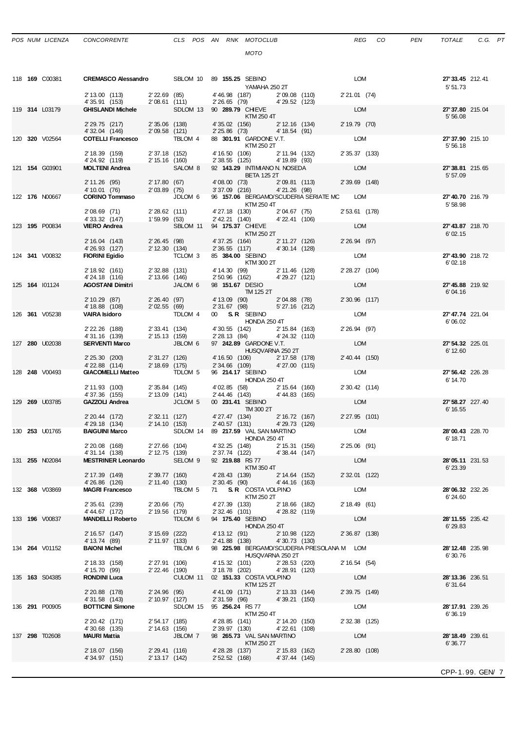4' 15.70 (99) 2' 22.46 (190) 3' 18.78 (202) 4' 28.91 (120)<br>RONDINI Luca CULOM 11 02 151.33 COSTA VOLPINO

4' 31.58 (143) 2' 10.97 (127) 2' 31.59 (96) 4' 39.21 (150)

2' 20.42 (171) 2' 54.17 (185) 4' 28.85 (141) 2' 14.20 (150)<br>4' 30.68 (135) 2' 14.63 (156) 2' 39.97 (130) 4' 22.61 (108)

2' 18.07 (156) 2' 29.41 (116) 4' 28.28 (137)<br>4' 34.97 (151) 2' 13.17 (142) 2' 52.52 (168) 4' 37.44 (145)

2' 20.88 (178) 2' 24.96 (95) 4' 41.09 (171)<br>4' 31.58 (143) 2' 10.97 (127) 2' 31.59 (96)

2' 20.42 (171) 2' 54.17 (185) 4' 28.85 (141)<br>4' 30.68 (135) 2' 14.63 (156) 2' 2' 39.97 (130)<br>MAURI Mattia JBLOM 7 98 265.73 VAL

135 **163** S04385 **RONDINI Luca** CULOM 11 02 **151.33** COSTA VOLPINO LOM **28'13.36** 236.51

136 **291** P00905 **BOTTICINI Simone** SDLOM 15 95 **256.24** RS 77 LOM **28'17.91** 239.26

137 **298** T02608 **MAURI Mattia** JBLOM 7 98 **265.73** VAL SAN MARTINO LOM **28'18.49** 239.61

KTM 125 2T<br>171) 2' 13.33 (144) 2' 39.75 (149)

KTM 250 4T 6' 36.19

KTM 250 2T<br>4' 28.28 (137) 2' 15.83 (162) 2' 28.80 (108)

4' 37.44 (145)

|  | 118 <b>169</b> C00381 | CREMASCO Alessandro SBLOM 10 89 155.25 SEBINO   |                                  |                               | YAMAHA 250 2T                                                                | <b>LOM</b>           | 27' 33.45 212.41<br>5' 51.73       |
|--|-----------------------|-------------------------------------------------|----------------------------------|-------------------------------|------------------------------------------------------------------------------|----------------------|------------------------------------|
|  |                       | 2' 13.00 (113)<br>4' 35.91 (153)                | 2'08.61 (111)                    | 2' 22.69 (85)                 | 4'46.98 (187) 2'09.08 (110)<br>$2'26.65$ (79) $4'29.52$ (123)                | 2' 21.01 (74)        |                                    |
|  | 119 314 L03179        | <b>GHISLANDI Michele</b>                        |                                  |                               | SDLOM 13 90 289.79 CHIEVE<br>KTM 250 4T                                      | LOM                  | 27'37.80 215.04<br>5'56.08         |
|  |                       | 2' 29.75 (217) 2' 35.06 (138)<br>4' 32.04 (146) | 2'09.58 (121)                    |                               | 4'35.02 (156) 2'12.16 (134)<br>2' 25.86 (73) 4' 18.54 (91)                   | 2' 19.79 (70)        |                                    |
|  | 120 320 V02564        | <b>COTELLI Francesco</b>                        |                                  | TBLOM 4                       | 88 301.91 GARDONE V.T.<br>KTM 250 2T                                         | LOM                  | 27'37.90 215.10<br>5'56.18         |
|  |                       | 2' 18.39 (159)<br>4' 24.92 (119)                | 2' 37.18 (152)<br>2' 15.16 (160) |                               | 4' 16.50 (106) 2' 11.94 (132) 2' 35.37 (133)<br>2' 38.55 (125) 4' 19.89 (93) |                      |                                    |
|  | 121 154 G03901        | <b>MOLTENI Andrea</b>                           |                                  | SALOM 8                       | 92 143.29 INTIMIANO N. NOSEDA<br><b>BETA 125 2T</b>                          | LOM                  | 27'38.81 215.65<br>5'57.09         |
|  |                       | 2' 11.26 (95)<br>4' 10.01 (76)                  |                                  | 2' 17.80 (67)<br>2'03.89 (75) | 4'08.00 (73) 2'09.81 (113) 2'39.69 (148)<br>3'37.09 (216) 4'21.26 (98)       |                      |                                    |
|  | 122 176 N00667        | <b>CORINO Tommaso</b>                           |                                  | JDLOM 6                       | 96 157.06 BERGAMO/SCUDERIA SERIATE MC LOM<br>KTM 250 4T                      |                      | 27'40.70 216.79<br>5' 58.98        |
|  |                       | 2'08.69 (71)<br>4'33.32 (147)                   | 2'28.62 (111)<br>1'59.99 (53)    |                               | 4' 27.18 (130) 2' 04.67 (75)<br>2' 42.21 (140) 4' 22.41 (106)                | 2' 53.61 (178)       |                                    |
|  | 123 195 P00834        | <b>VIERO Andrea</b>                             |                                  |                               | SBLOM 11 94 175.37 CHIEVE<br>KTM 250 2T                                      | <b>LOM</b>           | 27'43.87 218.70<br>6'02.15         |
|  |                       | 2' 16.04 (143)<br>4'26.93 (127)                 | 2' 12.30 (134)                   | 2'26.45 (98)                  | 4' 37.25 (164) 2' 11.27 (126)<br>2' 36.55 (117) 4' 30.14 (128)               | 2' 26.94 (97)        |                                    |
|  | 124 341 V00832        | <b>FIORINI Egidio</b>                           |                                  | TCLOM 3                       | 85 384.00 SEBINO<br><b>KTM 300 2T</b>                                        | <b>LOM</b>           | 27'43.90 218.72<br>6'02.18         |
|  |                       | 2' 18.92 (161)<br>4' 24.18 (116)                | 2'32.88 (131)<br>2' 13.66 (146)  |                               | 4' 14.30 (99) 2' 11.46 (128)<br>2' 50.96 (162) 4' 29.27 (121)                | 2' 28.27 (104)       |                                    |
|  | 125 164 101124        | <b>AGOSTANI Dimitri</b>                         |                                  | JALOM 6                       | 98 151.67 DESIO<br>TM 125 2T                                                 | LOM                  | 27'45.88 219.92<br>6'04.16         |
|  |                       | 2' 10.29 (87)<br>4' 18.88 (108)                 | 2'02.55 (69)                     | 2'26.40 (97)                  | 4' 13.09 (90) 2' 04.88 (78)<br>2' 31.67 (98) 5' 27.16 (212)                  | 2'30.96 (117)        |                                    |
|  | 126 361 V05238        | <b>VAIRA Isidoro</b>                            |                                  | TDLOM 4                       | 00 S.R. SEBINO<br><b>HONDA 250 4T</b>                                        | LOM                  | 27'47.74 221.04<br>6'06.02         |
|  |                       | 2' 22.26 (188)<br>4'31.16 (139)                 | 2' 15.13 (159)                   | 2' 33.41 (134)                | 4' 30.55 (142) 2' 15.84 (163)<br>2' 28.13 (84) 4' 24.32 (110)                | 2' 26.94 (97)<br>LOM |                                    |
|  | 127 280 U02038        | <b>SERVENTI Marco</b>                           |                                  | JBLOM 6                       | 97 242.89 GARDONE V.T.<br>HUSQVARNA 250 2T                                   |                      | 27' 54.32 225.01<br>6' 12.60       |
|  |                       | 2' 25.30 (200)<br>4' 22.88 (114)                | 2' 18.69 (175)                   | 2' 31.27 (126)                | 4'16.50 (106) 2'17.58 (178)<br>2' 34.66 (109) 4' 27.00 (115)                 | 2' 40.44 (150)       |                                    |
|  | 128 248 V00493        | <b>GIACOMELLI Matteo</b>                        |                                  | TDLOM 5                       | 96 214.17 SEBINO<br><b>HONDA 250 4T</b>                                      | LOM                  | 27' 56.42 226.28<br>6' 14.70       |
|  |                       | 2' 11.93 (100)<br>4'37.36 (155)                 | 2' 13.09 (141)                   | 2' 35.84 (145)                | 4'02.85 (58) 2'15.64 (160)<br>2'44.46 (143) 4'44.83 (165)                    | 2' 30.42 (114)       |                                    |
|  | 129 269 U03785        | <b>GAZZOLI Andrea</b>                           |                                  | JCLOM <sub>5</sub>            | 00 231.41 SEBINO<br>TM 300 2T                                                | LOM                  | 27' 58.27 227.40<br>6' 16.55       |
|  |                       | 2' 20.44 (172)<br>4' 29.18 (134)                | 2' 14.10 (153)                   | 2' 32.11 (127)                | 4' 27.47 (134) 2' 16.72 (167)<br>2' 40.57 (131) 4' 29.73 (126)               | 2'27.95 (101)        |                                    |
|  | 130 253 U01765        | <b>BAIGUINI Marco</b>                           |                                  |                               | SDLOM 14 89 217.59 VAL SAN MARTINO<br>HONDA 250 4T                           | LOM                  | 28'00.43 228.70<br>6' 18.71        |
|  |                       | 2' 20.08 (168)<br>4' 31.14 (138)                | 2'27.66 (104)<br>2' 12.75 (139)  |                               | 4'32.25 (148) 2'15.31 (156)<br>2' 37.74 (122) 4' 38.44 (147)                 | $2'25.06$ (91)       |                                    |
|  | 131 255 N02084        | <b>MESTRINER Leonardo</b>                       |                                  | SELOM 9                       | 92 219.88 RS 77<br>KTM 350 4T                                                | <b>LOM</b>           | 28'05.11 231.53<br>6'23.39         |
|  |                       | 2' 17.39 (149)<br>4'26.86 (126)                 | 2' 39.77 (160)<br>2' 11.40 (130) |                               | 4' 28.43 (139)<br>2' 14.64 (152)<br>2' 30.45 (90)<br>4'44.16 (163)           | 2' 32.01 (122)       |                                    |
|  | 132 368 V03869        | <b>MAGRI Francesco</b>                          |                                  | TBLOM 5                       | 71 S.R. COSTA VOLPINO<br>KTM 250 2T                                          | <b>LOM</b>           | 28'06.32 232.26<br>6'24.60         |
|  |                       | 2' 35.61 (239)<br>4' 44.67 (172)                | $2'20.66$ (75)<br>2' 19.56 (179) |                               | 4'27.39 (133)<br>2' 18.66 (182)<br>2' 32.46 (101)<br>4'28.82 (119)           | 2' 18.49 (61)        |                                    |
|  | 133 <b>196</b> V00837 | <b>MANDELLI Roberto</b>                         |                                  | TDLOM 6                       | 94 175.40 SEBINO<br><b>HONDA 250 4T</b>                                      | <b>LOM</b>           | <b>28' 11.55</b> 235.42<br>6'29.83 |
|  |                       | 2' 16.57 (147)<br>4' 13.74 (89)                 | 3' 15.69 (222)<br>2' 11.97 (133) |                               | 4' 13.12 (91)<br>2' 10.98 (122)<br>$2'41.88$ (138) $4'30.73$ (130)           | 2' 36.87 (138)       |                                    |
|  | 134 264 V01152        | <b>BAIONI Michel</b>                            |                                  | TBLOM 6                       | 98 225.98 BERGAMO/SCUDERIA PRESOLANA M LOM<br>HUSQVARNA 250 2T               |                      | 28'12.48 235.98<br>6'30.76         |
|  |                       | 2' 18.33 (158)                                  | 2' 27.91 (106)                   |                               | 4' 15.32 (101) 2' 28.53 (220)                                                | 2' 16.54 (54)        |                                    |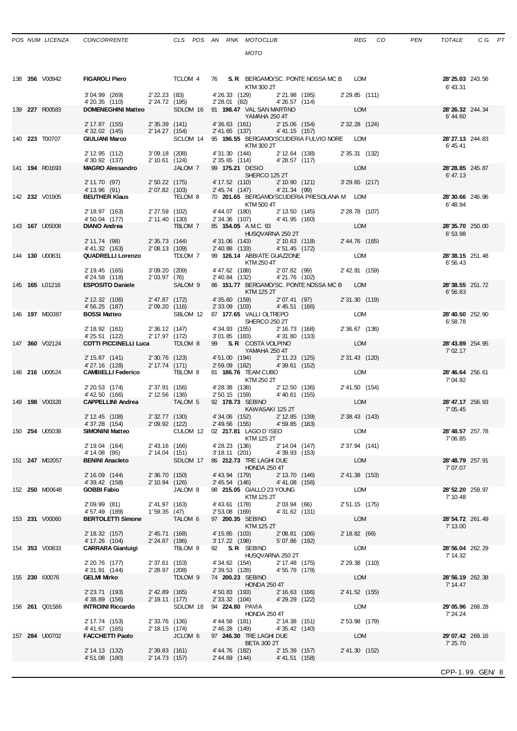| POS NUM LICENZA | <b>CONCORREN</b> |
|-----------------|------------------|
|                 |                  |

|  | 138 <b>356</b> V00942 | <b>FIGAROLI Piero</b>                                                    |                                   | TCLOM 4                            |                                  | KTM 300 2T                                                     |                                 | 76 S.R. BERGAMO/SC. PONTE NOSSA MC B LOM   |                 | 28' 25.03 243.56<br>6'43.31  |  |
|--|-----------------------|--------------------------------------------------------------------------|-----------------------------------|------------------------------------|----------------------------------|----------------------------------------------------------------|---------------------------------|--------------------------------------------|-----------------|------------------------------|--|
|  |                       | 3'04.99 (269)<br>4'20.35 (110)                                           | $2'22.23$ (83)<br>$2'24$ 72       |                                    |                                  | 4' 26.33 (129) 2' 21.98 (195)<br>2' 28.01 (82) 4' 26.57 (114)  |                                 |                                            | 2'29.85 (111)   |                              |  |
|  | 139 227 R00583        | <b>DOMENEGHINI Matteo</b>                                                |                                   | SDLOM 16 91 198.47 VAL SAN MARTINO |                                  | YAMAHA 250 4T                                                  |                                 |                                            | <b>LOM</b>      | 28' 26.32 244.34<br>6'44.60  |  |
|  |                       | 2' 17.87 (155)<br>4' 32.02 (145)                                         | $2'35.39$ (141)<br>2' 14.27 (154) |                                    |                                  | 4'36.63 (161)<br>2' 41.65 (137) 4' 41.15 (157)                 | 2' 15.06 (154)                  |                                            | 2' 32.28 (124)  |                              |  |
|  | 140 223 T00707        | <b>GIULIANI Marco</b>                                                    |                                   | SCLOM 14                           |                                  | KTM 300 2T                                                     |                                 | 95 196.55 BERGAMO/SCUDERIA FULVIO NORE LOM |                 | 28'27.13 244.83<br>6'45.41   |  |
|  |                       | 2' 12.95 (112)                                                           | $3'09.18$ (208)                   |                                    |                                  | 4'31.30 (144)                                                  | 2' 12.64 (138)                  |                                            | 2' 35.31 (132)  |                              |  |
|  | 141 194 R01693        | 4'30.92 (137)<br><b>MAGRO Alessandro</b>                                 | 2' 10.61 (124)                    | JALOM 7                            |                                  | 2' 35.65 (114) 4' 28.57 (117)<br>99 175.21 DESIO               |                                 |                                            | LOM             | 28'28.85 245.87              |  |
|  |                       | 2' 11.70 (97)                                                            |                                   | 2'50.22 (175)                      |                                  | SHERCO 125 2T                                                  |                                 | 4' 17.52 (110) 2' 10.90 (121)              | $3'29.65$ (217) | 6'47.13                      |  |
|  |                       | 4' 13.96 (91)                                                            | 2'07.82 (103)                     |                                    |                                  | 2' 45.74 (147) 4' 21.34 (99)                                   |                                 |                                            |                 |                              |  |
|  | 142 232 V01905        | <b>BEUTHER Klaus</b>                                                     |                                   | TELOM 8                            |                                  | KTM 500 4T                                                     |                                 | 70 201.65 BERGAMO/SCUDERIA PRESOLANA M LOM |                 | 28'30.66 246.96<br>6'48.94   |  |
|  |                       | 2' 18.97 (163)                                                           |                                   | 2' 27.59 (102)                     |                                  | 4' 44.07 (180) 2' 13.50 (145)<br>2' 34.36 (107) 4' 41.95 (160) |                                 |                                            | 2' 28.78 (107)  |                              |  |
|  | 143 <b>167</b> U05008 | 4' 50.04 (177)<br><b>DIANO Andrea</b>                                    | 2' 11.40 (130)                    | TBLOM 7                            |                                  | 85 154.05 AMC. 93                                              |                                 |                                            | LOM             | 28'35.70 250.00              |  |
|  |                       |                                                                          |                                   |                                    |                                  | HUSQVARNA 250 2T                                               |                                 |                                            |                 | 6'53.98                      |  |
|  |                       | 2' 11.74 (98)<br>4' 41.32 (163)                                          | 2' 35.73 (144)<br>2'08.13 (109)   |                                    |                                  | 4'31.06 (143) 2'10.63 (118)<br>2' 40.88 (133)                  | 4'51.45 (172)                   |                                            | 2' 44.76 (165)  |                              |  |
|  | 144 130 U00831        | <b>QUADRELLI Lorenzo</b>                                                 |                                   | TDLOM 7                            |                                  | 99 126.14 ABBIATE GUAZZONE                                     |                                 |                                            | <b>LOM</b>      | 28'38.15 251.48              |  |
|  |                       | 2' 19.45 (165)                                                           | 3'09.20(209)                      |                                    |                                  | KTM 250 4T                                                     |                                 | 4' 47.62 (188) 2' 07.82 (99)               | 2' 42.91 (159)  | 6'56.43                      |  |
|  |                       | 4'24.58 (118)                                                            | 2'03.97(76)                       |                                    |                                  | 2' 40.84 (132)                                                 | 4'21.76 (102)                   |                                            |                 |                              |  |
|  | 145 <b>165</b> L01216 | <b>ESPOSITO Daniele</b>                                                  |                                   | SALOM 9                            |                                  | KTM 125 2T                                                     |                                 | 86 151.77 BERGAMO/SC. PONTE NOSSA MC B LOM |                 | 28'38.55 251.72<br>6'56.83   |  |
|  |                       | 2' 12.32 (106)                                                           | 2' 47.87 (172)                    |                                    |                                  | 4'35.60 (159)                                                  | 2'07.41 (97)                    |                                            | 2' 31.30 (119)  |                              |  |
|  | 146 <b>197</b> M00387 | 4' 56.25 (187)<br><b>BOSSI Matteo</b>                                    | 2'09.20 (116)                     | SBLOM 12 87 177.65 VALLI OLTREPO   | 2' 33.09 (103)                   |                                                                | 4'45.51 (166)                   |                                            | LOM             | 28'40.50 252.90              |  |
|  |                       |                                                                          |                                   |                                    |                                  | SHERCO 250 2T                                                  |                                 |                                            |                 | 6'58.78                      |  |
|  |                       | 2' 18.92 (161)<br>4'25.51 (122)                                          |                                   | $2'36.12$ (147)<br>$2'1797$ (170   |                                  | 4' 34.93 (155) 2' 16.73 (168)<br>3' 01.85 (183) 4' 31.80 (133) |                                 |                                            | 2' 36.67 (136)  |                              |  |
|  | 147 360 V02124        | <b>COTTI PICCINELLI Luca</b>                                             |                                   | TDLOM 8                            |                                  | 99 S.R. COSTA VOLPINO                                          |                                 |                                            | LOM             | 28' 43.89 254.95             |  |
|  |                       | 2' 15.87 (141)                                                           | 2'30.76 (123)                     |                                    |                                  | YAMAHA 250 4T                                                  |                                 |                                            | 2' 31.43 (120)  | 7' 02.17                     |  |
|  |                       | 4'27.16 (128)                                                            | 2' 17.74 (171)                    |                                    |                                  | 4' 51.00 (194) 2' 11.23 (125)<br>2' 59.09 (182) 4' 39.61 (152) |                                 |                                            |                 |                              |  |
|  | 148 216 U00524        | <b>CAMBIELLI Federico TBLOM 8</b>                                        |                                   |                                    |                                  | 81 186.76 TEAM CUBO<br>KTM 250 2T                              |                                 |                                            | LOM             | 28'46.64 256.61<br>7'04.92   |  |
|  |                       | 2' 20.53 (174)                                                           | 2' 37.91 (156)                    |                                    |                                  | 4' 28.38 (138) 2' 12.50 (136)<br>2' 50.15 (159) 4' 40.61 (155) |                                 |                                            | 2' 41.50 (154)  |                              |  |
|  | 149 <b>198</b> V00328 | 4' 42.50 (166)<br><b>CAPPELLINI Andrea</b>                               | 2' 12.56 (136)                    | TALOM 5                            |                                  | 92 178.73 SEBINO                                               |                                 |                                            | LOM             | 28' 47.17 256.93             |  |
|  |                       |                                                                          |                                   |                                    |                                  | KAWASAKI 125 2T                                                |                                 |                                            |                 | 7' 05.45                     |  |
|  |                       | 2' 12.45 (108)<br>4'37.28 (154) 2'09.92 (122)                            | 2' 32.77 (130)                    |                                    |                                  | 4'34.06 (152) 2'12.85 (139)<br>2' 49.56 (155)                  | 4'59.85 (183)                   |                                            | 2' 38.43 (143)  |                              |  |
|  | 150 <b>254 U05038</b> | <b>SIMONINI Matteo</b>                                                   |                                   | CULOM 12 02 217.81 LAGO D'ISEO     |                                  | KTM 125 2T                                                     |                                 |                                            | <b>LOM</b>      | 28'48.57 257.78<br>7'06.85   |  |
|  |                       | 2' 19.04 (164) 2' 43.16 (166)                                            |                                   |                                    |                                  | 4'28.23 (136) 2'14.04 (147)                                    |                                 |                                            | 2' 37.94 (141)  |                              |  |
|  | 151 <b>247</b> M02057 | 4' 14.08 (95)<br><b>BENINI Anacleto SDLOM 17 86 212.73 TRE LAGHI DUE</b> | 2' 14.04 (151)                    |                                    | $3'18.11$ (201)                  |                                                                | 4'39.93 (153)                   |                                            | LOM             | 28'48.79 257.91              |  |
|  |                       |                                                                          |                                   |                                    |                                  | <b>HONDA 250 4T</b>                                            |                                 |                                            |                 | 7'07.07                      |  |
|  |                       | 2' 16.09 (144)<br>4' 39.42 (158)                                         | 2' 36.70 (150)<br>2' 10.94 (126)  |                                    | 4' 43.94 (179)<br>2' 45.54 (146) |                                                                | 2' 13.70 (146)<br>4'41.08 (156) |                                            | 2' 41.38 (153)  |                              |  |
|  | 152 250 M00648        | <b>GOBBI Fabio</b>                                                       |                                   | JALOM 8                            |                                  | 98 215.05 GIALLO 23 YOUNG                                      |                                 |                                            | <b>LOM</b>      | 28' 52.20 259.97             |  |
|  |                       | 2'09.99(81)                                                              | 2' 41.97 (163)                    |                                    | 4' 43.61 (178)                   | KTM 125 2T                                                     | 2'03.94(66)                     |                                            | 2' 51.15 (175)  | 7' 10.48                     |  |
|  |                       | 4' 57.49 (189)                                                           | 1'59.35(47)                       |                                    | 2' 53.08 (169)                   |                                                                | 4'31.62 (131)                   |                                            |                 |                              |  |
|  | 153 231 V00060        | <b>BERTOLETTI Simone</b>                                                 |                                   | TALOM 6                            |                                  | 97 200.35 SEBINO<br>KTM 125 2T                                 |                                 |                                            | LOM             | 28' 54.72 261.49<br>7' 13.00 |  |
|  |                       | 2' 18.32 (157)                                                           | 2' 45.71 (168)                    |                                    | 4' 15.85 (103)                   |                                                                | 2'08.81 (106)                   |                                            | 2' 18.82 (66)   |                              |  |
|  | 154 353 V00833        | 4' 17.26 (104)<br><b>CARRARA Gianluigi</b>                               | 2' 24.87 (196)                    | TBLOM 9                            | 3' 17.22 (198)                   | 92 S.R. SEBINO                                                 | 5'07.86 (192)                   |                                            | LOM             | 28'56.04 262.29              |  |
|  |                       |                                                                          |                                   |                                    |                                  | HUSQVARNA 250 2T                                               |                                 |                                            |                 | 7' 14.32                     |  |
|  |                       | 2' 20.76 (177)<br>4'31.91 (144)                                          | 2' 37.61 (153)<br>2' 28.97 (208)  |                                    | 4' 34.62 (154)<br>2' 39.53 (128) |                                                                | 2' 17.48 (175)<br>4'55.78 (178) |                                            | 2' 29.38 (110)  |                              |  |
|  | 155 230 100076        | GELMI Mirko                                                              |                                   | TDLOM <sub>9</sub>                 |                                  | 74 200.23 SEBINO                                               |                                 |                                            | <b>LOM</b>      | 28'56.19 262.38              |  |
|  |                       | 2' 23.71 (193)                                                           | 2' 42.89 (165)                    |                                    | 4' 50.83 (193)                   | <b>HONDA 250 4T</b>                                            | 2' 16.63 (166)                  |                                            | 2' 41.52 (155)  | 7' 14.47                     |  |
|  |                       | 4'38.89 (156)                                                            | 2' 19.11 (177)                    |                                    | 2' 33.32 (104)                   |                                                                | 4' 29.29 (122)                  |                                            |                 |                              |  |
|  | 156 <b>261</b> Q01586 | <b>INTROINI Riccardo</b>                                                 |                                   | SDLOM 18                           |                                  | 94 224.80 PAVIA<br><b>HONDA 250 4T</b>                         |                                 |                                            | LOM             | 29'05.96 268.28<br>7' 24.24  |  |
|  |                       | 2' 17.74 (153)                                                           | 2' 33.76 (136)                    |                                    | 4'44.58 (181)                    |                                                                | 2' 14.38 (151)                  |                                            | 2' 53.98 (179)  |                              |  |
|  | 157 284 U00702        | 4' 41.67 (165)<br><b>FACCHETTI Paolo</b>                                 | 2' 18.15 (174)                    | JCLOM 6                            | 2' 46.28 (149)                   | 97 246.30 TRE LAGHI DUE                                        | 4' 35.42 (140)                  |                                            | <b>LOM</b>      | 29'07.42 269.16              |  |
|  |                       |                                                                          |                                   |                                    |                                  | <b>BETA 300 2T</b>                                             |                                 |                                            |                 | 7' 25.70                     |  |

BETA 300 2T<br>
4' 44.76 (182) 2' 15.39 (157) 2' 41.30 (152)<br>
2' 44.69 (144) 4' 41.51 (158)

2' 14.13 (132) 2' 39.83 (161) 4' 44.76 (182) 2' 15.39 (157) 2' 41.30 (152)

4' 51.08 (180) 2' 14.73 (157) 2' 44.69 (144) 4' 41.51 (158)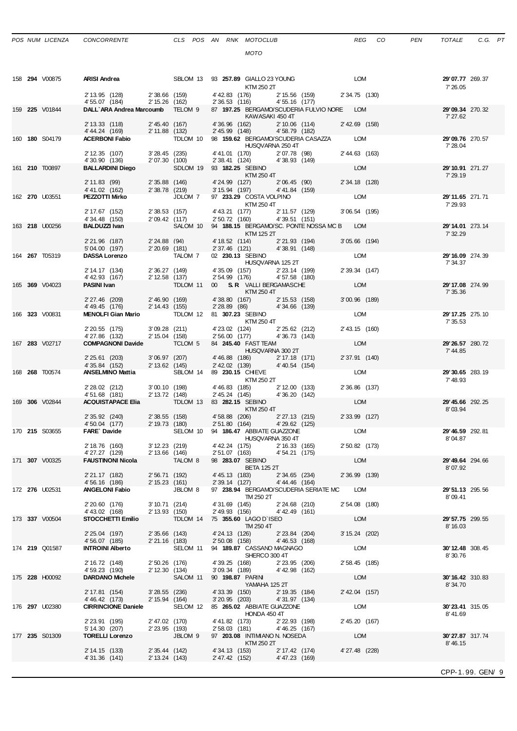|  | 158 294 V00875 | <b>ARISI Andrea</b>                                |                                  | SBLOM 13                        |                                    | 93 <b>257.89</b> GIALLO 23 YOUNG<br>KTM 250 2T                                  |                | <b>LOM</b>      | 29'07.77 269.37<br>7' 26.05         |  |
|--|----------------|----------------------------------------------------|----------------------------------|---------------------------------|------------------------------------|---------------------------------------------------------------------------------|----------------|-----------------|-------------------------------------|--|
|  |                | 2' 13.95 (128)                                     | 2'38.66 (159)                    |                                 | 4' 42.83 (176)                     | 2' 15.56 (159)                                                                  |                | 2' 34.75 (130)  |                                     |  |
|  | 159 225 V01844 | 4' 55.07 (184)<br>DALL'ARA Andrea Marcoumb TELOM 9 | 2' 15.26 (162)                   |                                 | 2' 36.53 (116)                     | 4' 55.16 (177)<br>87 197.25 BERGAMO/SCUDERIA FULVIO NORE LOM<br>KAWASAKI 450 4T |                |                 | 29'09.34 270.32<br>7' 27.62         |  |
|  |                | 2' 13.33 (118)                                     | 2' 45.40 (167)                   |                                 | 4'36.96 (162)                      |                                                                                 |                | 2' 42.69 (158)  |                                     |  |
|  |                | 4' 44.24 (169)                                     | 2' 11.88 (132)                   |                                 | 2' 45.99 (148)                     | $2'10.06$ (11+)<br>4'58.79 (182)                                                |                |                 |                                     |  |
|  | 160 180 S04179 | <b>ACERBONI Fabio</b>                              |                                  | TDLOM 10                        |                                    | 98 159.62 BERGAMO/SCUDERIA CASAZZA<br>HUSQVARNA 250 4T                          |                | <b>LOM</b>      | 29'09.76 270.57<br>7' 28.04         |  |
|  |                | 2' 12.35 (107)                                     | $3'28.45$ (235)                  |                                 | 4' 41.01 (170)                     | 2'07.78 (98)                                                                    |                | 2' 44.63 (163)  |                                     |  |
|  | 161 210 T00897 | 4'30.90 (136)<br><b>BALLARDINI Diego</b>           | 2' 07.30 (100)                   | SDLOM 19                        | 2' 38.41 (124)<br>93 182.25 SEBINO | 4'38.93 (149)                                                                   |                | LOM             | 29'10.91 271.27                     |  |
|  |                |                                                    |                                  |                                 |                                    | KTM 250 4T                                                                      |                |                 | 7' 29.19                            |  |
|  |                | 2'11.83(99)                                        | $2'35.88$ (146)                  |                                 | 4'24.99 (127)                      | 2'06.45(90)                                                                     |                | 2' 34.18 (128)  |                                     |  |
|  | 162 270 U03551 | 4' 41.02 (162)<br>PEZZOTTI Mirko                   | 2'38.78 (219)                    | JDLOM 7                         | 3' 15.94 (197)                     | 4'41.84 (159)<br>97 233.29 COSTA VOLPINO                                        |                | LOM             | 29'11.65 271.71                     |  |
|  |                |                                                    |                                  |                                 |                                    | KTM 250 4T                                                                      |                |                 | 7' 29.93                            |  |
|  |                | 2' 17.67 (152)<br>4' 34.48 (150)                   | 2'38.53 (157)<br>2'09.42 (117)   |                                 | 4' 43.21 (177)<br>2' 50.72 (160)   | 2' 11.57 (129)<br>4'39.51 (151)                                                 |                | $3'06.54$ (195) |                                     |  |
|  | 163 218 U00256 | <b>BALDUZZI Ivan</b>                               |                                  | SALOM 10                        |                                    | 94 188.15 BERGAMO/SC. PONTE NOSSA MC B LOM                                      |                |                 | 29'14.01 273.14                     |  |
|  |                |                                                    |                                  |                                 |                                    | KTM 125 2T                                                                      |                |                 | 7' 32.29                            |  |
|  |                | 2' 21.96 (187)<br>5'04.00 (197)                    | 2'24.88(94)<br>$2'20.69$ (181)   |                                 | 4' 18.52 (114)<br>2' 37.46 (121)   | 2' 21.93 (194)<br>4'38.91 (148)                                                 |                | $3'05.66$ (194) |                                     |  |
|  | 164 267 T05319 | <b>DASSA Lorenzo</b>                               |                                  | TALOM 7                         | 02 230.13 SEBINO                   |                                                                                 |                | LOM             | 29'16.09 274.39                     |  |
|  |                | 2' 14.17 (134)                                     | 2' 36.27 (149)                   |                                 | 4'35.09 (157)                      | HUSQVARNA 125 2T<br>2'23.14 (199)                                               |                | 2' 39.34 (147)  | 7' 34.37                            |  |
|  |                | 4' 42.93 (167)                                     | 2' 12.58 (137)                   |                                 | 2' 54.99 (176)                     | 4'57.58 (180)                                                                   |                |                 |                                     |  |
|  | 165 369 V04023 | <b>PASINI Ivan</b>                                 |                                  | TDLOM 11                        |                                    | 00 S.R. VALLI BERGAMASCHE                                                       |                | LOM             | 29' 17.08 274.99                    |  |
|  |                | 2' 27.46 (209)                                     | 2'46.90 (169)                    |                                 |                                    | KTM 250 4T<br>2' 15.53 (158)<br>4'38.80 (167)                                   |                | 3'00.96 (189)   | 7' 35.36                            |  |
|  |                | 4' 49.45 (176)                                     | 2' 14.43 (155)                   |                                 | $2'28.89$ (86)                     | 4'34.66 (139)                                                                   |                |                 |                                     |  |
|  | 166 323 V00831 | MENOLFI Gian Mario                                 |                                  | TDLOM 12                        | 81 307.23 SEBINO                   |                                                                                 |                | <b>LOM</b>      | 29' 17.25 275.10                    |  |
|  |                | 2' 20.55 (175)                                     | $3'09.28$ (211)                  |                                 |                                    | KTM 250 4T<br>4'23.02 (124)<br>2'25.62 (212)                                    |                | 2' 43.15 (160)  | 7' 35.53                            |  |
|  |                | 4'27.86 (132)                                      | 2' 15.04 (158)                   |                                 | 2'56.00(177)                       | 4'36.73 (143)                                                                   |                |                 |                                     |  |
|  | 167 283 V02717 | <b>COMPAGNONI Davide</b>                           |                                  | TCLOM <sub>5</sub>              |                                    | 84 245.40 FAST TEAM<br>HUSQVARNA 300 2T                                         |                | LOM             | 29'26.57 280.72<br>7' 44.85         |  |
|  |                | 2' 25.61 (203)                                     | 3'06.97(207)                     |                                 | 4'46.88 (186)                      | 2' 17.18 (171)                                                                  |                | 2' 37.91 (140)  |                                     |  |
|  |                | 4' 35.84 (152)                                     | 2' 13.62 (145)                   |                                 | 2' 42.02 (139)                     | 4'40.54(154)                                                                    |                | <b>LOM</b>      |                                     |  |
|  | 168 268 T00574 | <b>ANSELMINO Mattia</b>                            |                                  | SBLOM 14                        | 89 230.15 CHIEVE                   | KTM 250 2T                                                                      |                |                 | 29'30.65 283.19<br>7'48.93          |  |
|  |                | 2' 28.02 (212)                                     | 3'00.10(198)                     |                                 | 4' 46.83 (185)                     | 2' 12.00 (133)                                                                  |                | 2' 36.86 (137)  |                                     |  |
|  | 169 306 V02844 | 4'51.68 (181)<br><b>ACQUISTAPACE Elia</b>          | 2' 13.72 (148)                   | TDLOM 13                        | 2' 45.24 (145)<br>83 282.15 SEBINO | 4'36.20 (142)                                                                   |                | LOM             | 29' 45.66 292.25                    |  |
|  |                |                                                    |                                  |                                 |                                    | KTM 250 4T                                                                      |                |                 | 8'03.94                             |  |
|  |                | 2' 35.92 (240)<br>4' 50.04 (177)                   | 2' 38.55 (158)<br>2' 19.73 (180) |                                 | 4' 58.88 (206)<br>2' 51.80 (164)   | 2' 27.13 (215)<br>4' 29.62 (125)                                                |                | 2' 33.99 (127)  |                                     |  |
|  | 170 215 S03655 | FARE` Davide                                       |                                  | SELOM 10                        |                                    | 94 186.47 ABBIATE GUAZZONE                                                      |                | LOM             | 29' 46.59 292.81                    |  |
|  |                |                                                    |                                  |                                 |                                    | HUSQVARNA 350 4T                                                                |                |                 | 8'04.87                             |  |
|  |                | 2' 18.76 (160)<br>4'27.27 (129)                    | 3' 12.23 (219)<br>2' 13.66 (146) |                                 | 4' 42.24 (175)<br>2' 51.07 (163)   | 2' 16.33 (165)<br>4'54.21 (175)                                                 |                | 2' 50.82 (173)  |                                     |  |
|  | 171 307 V00325 | FAUSTINONI Nicola TALOM 8 98 283.07 SEBINO         |                                  |                                 |                                    |                                                                                 |                | <b>LOM</b>      | 29' 49.64 294.66                    |  |
|  |                |                                                    |                                  |                                 |                                    | <b>BETA 125 2T</b>                                                              |                |                 | 8'07.92                             |  |
|  |                | 2' 21.17 (182)<br>4' 56.16 (186)                   | 2' 56.71 (192)<br>2' 15.23 (161) |                                 | 4' 45.13 (183)<br>2' 39.14 (127)   | 4'44.46 (164)                                                                   | 2' 34.65 (234) | 2' 36.99 (139)  |                                     |  |
|  | 172 276 U02531 | <b>ANGELONI Fabio</b>                              |                                  | JBLOM 8                         |                                    | 97 238.94 BERGAMO/SCUDERIA SERIATE MC                                           |                | LOM             | 29' 51.13 295.56                    |  |
|  |                | 2' 20.60 (176)                                     | 3'10.71(214)                     |                                 | 4'31.69 (145)                      | TM 250 2T<br>2'24.68 (210)                                                      |                | 2' 54.08 (180)  | 8'09.41                             |  |
|  |                | 4' 43.02 (168)                                     | 2' 13.93 (150)                   |                                 | 2' 49.93 (156)                     | 4'42.49 (161)                                                                   |                |                 |                                     |  |
|  | 173 337 V00504 | STOCCHETTI Emilio                                  |                                  | TDLOM 14                        |                                    | 75 355.60 LAGO D'ISEO<br>TM 250 4T                                              |                | LOM             | <b>29' 57.75</b> 299.55<br>8' 16.03 |  |
|  |                | 2' 25.04 (197)                                     | $2'35.66$ (143)                  |                                 | 4' 24.13 (126)                     | 2'23.84 (204)                                                                   |                | 3' 15.24 (202)  |                                     |  |
|  |                | 4' 56.07 (185)                                     | 2'21.16 (183)                    |                                 | $2'50.08$ (158)                    | 4'46.53 (168)                                                                   |                |                 |                                     |  |
|  | 174 219 Q01587 | <b>INTROINI Alberto</b>                            |                                  | SELOM 11                        |                                    | 94 189.87 CASSANO MAGNAGO<br>SHERCO 300 4T                                      |                | LOM             | 30'12.48 308.45<br>8'30.76          |  |
|  |                | 2' 16.72 (148)                                     | 2' 50.26 (176)                   |                                 | 4' 39.25 (168)                     | 2' 23.95 (206)                                                                  |                | 2' 58.45 (185)  |                                     |  |
|  | 175 228 H00092 | 4' 59.23 (190)<br><b>DARDANO Michele</b>           | 2' 12.30 (134)                   | SALOM 11                        | $3'09.34$ (189)<br>90 198.87 PARIN | 4' 42.98 (162)                                                                  |                | LOM             | <b>30'16.42</b> 310.83              |  |
|  |                |                                                    |                                  |                                 |                                    | YAMAHA 125 2T                                                                   |                |                 | 8'34.70                             |  |
|  |                | 2' 17.81 (154)                                     | $3'28.55$ (236)                  |                                 | 4'33.39 (150)                      | 2' 19.35 (184)                                                                  |                | 2' 42.04 (157)  |                                     |  |
|  | 176 297 U02380 | 4' 46.42 (173)<br><b>CIRRINCIONE Daniele</b>       | 2' 15.94 (164)                   | SELOM 12                        | $3'20.95$ (203)                    | 4'31.97 (134)<br>85 265.02 ABBIATE GUAZZONE                                     |                | LOM             | <b>30'23.41</b> 315.05              |  |
|  |                |                                                    |                                  |                                 |                                    | HONDA 450 4T                                                                    |                |                 | 8'41.69                             |  |
|  |                | 2' 23.91 (195)<br>5' 14.30 (207)                   | 2'47.02 (170)<br>2' 23.95 (193)  |                                 | 4' 41.82 (173)<br>2' 58.03 (181)   | 2'22.93 (198)<br>4'46.25 (167)                                                  |                | 2' 45.20 (167)  |                                     |  |
|  | 177 235 S01309 | <b>TORELLI Lorenzo</b>                             |                                  | <b>STATE STATE STATE</b> SHOW 9 |                                    | 97 203.08 INTIMIANO N. NOSEDA                                                   |                | LOM             | 30'27.87 317.74                     |  |
|  |                |                                                    |                                  |                                 |                                    | KTM 250 2T                                                                      |                |                 | 8'46.15                             |  |
|  |                | 2' 14.15 (133)<br>4'31.36 (141)                    | 2' 35.44 (142)<br>2' 13.24 (143) |                                 | 4' 34.13 (153)<br>2' 47.42 (152)   | 2' 17.42 (174)<br>4'47.23 (169)                                                 |                | 4'27.48 (228)   |                                     |  |
|  |                |                                                    |                                  |                                 |                                    |                                                                                 |                |                 |                                     |  |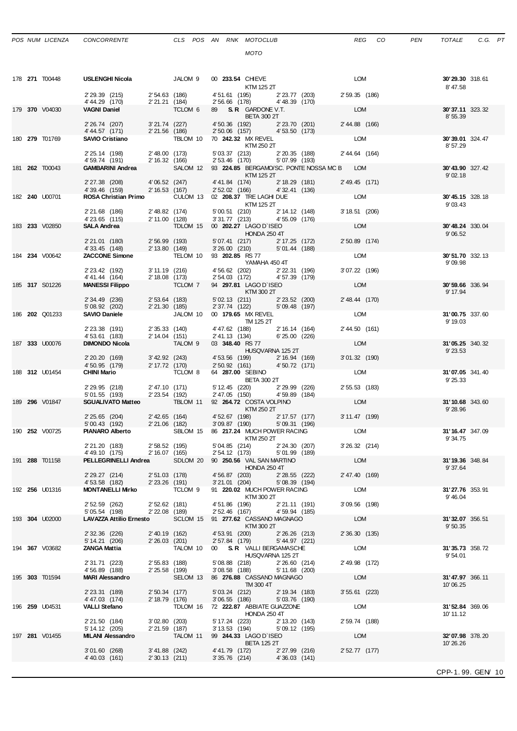| POS NUM LICENZA | <b>CONCORREI</b> |
|-----------------|------------------|
|-----------------|------------------|

|  | 178 <b>271</b> T00448 | <b>USLENGHI Nicola</b>                    |                                            | JALOM 9       | 00 233.54 CHIEVE<br><b>KTM 125 2T</b>                          |                                 | LOM             | 30'29.30 318.61<br>8'47.58  |
|--|-----------------------|-------------------------------------------|--------------------------------------------|---------------|----------------------------------------------------------------|---------------------------------|-----------------|-----------------------------|
|  |                       | 2' 29.39 (215)<br>4' 44.29 (170)          | 2'54.63 (186)<br>2'21.21 (184)             |               | 4'51.61 (195) 2'23.77 (203)<br>2' 56.66 (178)                  | 4'48.39 (170)                   | 2' 59.35 (186)  |                             |
|  | 179 370 V04030        | <b>VAGNI Daniel</b>                       |                                            | TCLOM 6       | 89 S.R. GARDONE V.T.<br><b>BETA 300 2T</b>                     |                                 | LOM             | 30'37.11 323.32<br>8'55.39  |
|  |                       | 2' 26.74 (207)<br>4' 44.57 (171)          | $3'21.74$ (227)<br>2'21.56 (186)           |               | 4' 50.36 (192)<br>2' 50.06 (157)                               | 2' 23.70 (201)<br>4'53.50 (173) | 2' 44.88 (166)  |                             |
|  | 180 279 T01769        | <b>SAVIO Cristiano</b>                    |                                            | TBLOM 10      | 70 242.32 MX REVEL<br>KTM 250 2T                               |                                 | LOM             | 30'39.01 324.47<br>8'57.29  |
|  |                       | 2' 25.14 (198)                            | 2'48.00 (173)                              |               | 5' 03.37 (213)                                                 | 2'20.35 (188)                   | 2' 44.64 (164)  |                             |
|  | 181 262 T00043        | 4' 59.74 (191)<br><b>GAMBARINI Andrea</b> | 2' 16.32 (166)                             | SALOM 12      | 2' 53.46 (170)<br>93 224.85 BERGAMO/SC. PONTE NOSSA MC B LOM   | 5'07.99 (193)                   |                 | 30'43.90 327.42             |
|  |                       | 2' 27.38 (208)                            | 4'06.52 (247)                              |               | KTM 125 2T<br>4' 41.84 (174)                                   | 2' 18.29 (181)                  | 2' 49.45 (171)  | 9'02.18                     |
|  |                       | 4'39.46 (159)                             | 2' 16.53 (167)                             |               | 2' 52.02 (166)                                                 | 4'32.41 (136)                   | LOM             |                             |
|  | 182 240 U00701        | ROSA Christian Primo                      |                                            | CULOM 13      | 02 208.37 TRE LAGHI DUE<br>KTM 125 2T                          |                                 |                 | 30'45.15 328.18<br>9'03.43  |
|  |                       | 2' 21.68 (186)<br>4'23.65 (115)           | 2' 48.82 (174)<br>2' 11.00 (128)           |               | 5' 00.51 (210)<br>4'55.09 (176)<br>$3'31.77$ (213)             | 2' 14.12 (148)                  | 3' 18.51 (206)  |                             |
|  | 183 233 V02850        | <b>SALA Andrea</b>                        |                                            | TDLOM 15      | 00 202.27 LAGO D'ISEO<br><b>HONDA 250 4T</b>                   |                                 | LOM             | 30'48.24 330.04<br>9'06.52  |
|  |                       | 2' 21.01 (180)                            | 2'56.99 (193)                              |               | 5' 07.41 (217)                                                 | 2' 17.25 (172)                  | 2' 50.89 (174)  |                             |
|  | 184 234 V00642        | 4' 33.45 (148)<br><b>ZACCONE Simone</b>   | 2' 13.80 (149)                             | TELOM 10      | 3'26.00 (210)<br>93 202.85 RS 77                               | 5'01.44 (188)                   | LOM             | 30'51.70 332.13             |
|  |                       | 2' 23.42 (192)                            | $3'11.19$ (216)                            |               | YAMAHA 450 4T<br>4' 56.62 (202)                                | 2'22.31 (196)                   | 3'07.22 (196)   | 9'09.98                     |
|  | 185 317 S01226        | 4' 41.44 (164)<br><b>MANESSI Filippo</b>  | 2' 18.08 (173)                             | TCLOM 7       | 2' 54.03 (172)<br>94 297.81 LAGO D'ISEO                        | 4'57.39 (179)                   | LOM             | 30'59.66 336.94             |
|  |                       |                                           |                                            |               | KTM 300 2T                                                     |                                 |                 | 9' 17.94                    |
|  |                       | 2' 34.49 (236)<br>5' 08.92 (202)          | $2'53.64$ (183)<br>2'21.30 (185)           |               | 5' 02.13 (211)<br>2' 37.74 (122)                               | 2'23.52 (200)<br>5'09.48 (197)  | 2' 48.44 (170)  |                             |
|  | 186 202 Q01233        | <b>SAVIO Daniele</b>                      |                                            | JALOM 10      | 00 179.65 MX REVEL<br>TM 125 2T                                |                                 | LOM             | 31'00.75 337.60<br>9' 19.03 |
|  |                       | 2' 23.38 (191)<br>4'53.61 (183)           | 2'35.33(140)<br>2' 14.04 (151)             |               | 4'47.62 (188)<br>2' 41.13 (134)                                | 2' 16.14 (164)<br>6'25.00(226)  | 2' 44.50 (161)  |                             |
|  | 187 333 U00076        | <b>DIMONDO Nicola</b>                     |                                            | TALOM 9       | 03 348.40 RS 77<br>HUSQVARNA 125 2T                            |                                 | LOM             | 31'05.25 340.32             |
|  |                       | 2' 20.20 (169)                            | $3' 42.92$ (243)                           |               | 4'53.56 (199)                                                  | 2' 16.94 (169)                  | 3'01.32 (190)   | 9'23.53                     |
|  | 188 312 U01454        | 4' 50.95 (179)<br><b>CHINI Mario</b>      | 2' 17.72 (170)                             | TCLOM 8       | 2' 50.92 (161)<br>64 287.00 SEBINO                             | 4'50.72 (171)                   | <b>LOM</b>      | 31'07.05 341.40             |
|  |                       | 2' 29.95 (218)                            | 2'47.10 (171)                              |               | <b>BETA 300 2T</b><br>5' 12.45 (220)                           | 2'29.99 (226)                   | 2' 55.53 (183)  | 9'25.33                     |
|  | 189 296 V01847        | 5'01.55 (193)<br><b>SGUALIVATO Matteo</b> | 2' 23.54 (192)<br><b>Contract Contract</b> | TBLOM 11      | 2' 47.05 (150)<br>92 264.72 COSTA VOLPINO                      | 4'59.89 (184)                   | <b>LOM</b>      | 31'10.68 343.60             |
|  |                       |                                           |                                            |               | KTM 250 2T                                                     |                                 |                 | 9'28.96                     |
|  |                       | 2' 25.65 (204)<br>5' 00.43 (192)          | 2' 42.65 (164)<br>2'21.06 (182)            |               | 4'52.67 (198)<br>3'09.87 (190)                                 | 2' 17.57 (177)<br>5'09.31 (196) | 3' 11.47 (199)  |                             |
|  | 190 252 V00725        | <b>PIANARO Alberto</b>                    |                                            | SBLOM 15      | 86 217.24 MUCH POWER RACING<br>KTM 250 2T                      |                                 | LOM             | 31'16.47 347.09<br>9'34.75  |
|  |                       | 2' 21.20 (183)<br>4' 49.10 (175)          | $2'58.52$ (195)<br>2' 16.07 (165)          |               | 5'04.85 (214)<br>2' 54.12 (173)                                | 2' 24.30 (207)<br>5'01.99 (189) | 3' 26.32 (214)  |                             |
|  | 191 288 T01158        | <b>PELLEGRINELLI Andrea</b>               |                                            |               | SDLOM 20 90 250.56 VAL SAN MARTINO                             |                                 | LOM             | 31'19.36 348.84             |
|  |                       | 2' 29.27 (214)                            |                                            | 2'51.03 (178) | HONDA 250 4T<br>4' 56.87 (203)                                 | 2'28.55 (222)                   | 2' 47.40 (169)  | 9' 37.64                    |
|  | 192 <b>256</b> U01316 | 4' 53.58 (182)<br><b>MONTANELLI Mirko</b> | 2' 23.26 (191)                             | TCLOM 9       | $3'21.01$ (204) $5'08.39$ (194)<br>91 220.02 MUCH POWER RACING |                                 | LOM             | 31'27.76 353.91             |
|  |                       | 2' 52.59 (262)                            | 2'52.62 (181)                              |               | KTM 300 2T<br>4'51.86 (196)                                    | 2'21.11 (191)                   | 3'09.56 (198)   | 9'46.04                     |
|  |                       | 5' 05.54 (198)                            | 2'22.08 (189)                              |               | 2' 52.46 (167)                                                 | 4'59.94 (185)                   |                 |                             |
|  | 193 304 U02000        | <b>LAVAZZA Attilio Ernesto</b>            |                                            | SCLOM 15      | 91 277.62 CASSANO MAGNAGO<br>KTM 300 2T                        |                                 | LOM             | 31'32.07 356.51<br>9'50.35  |
|  |                       | 2' 32.36 (226)<br>5' 14.21 (206)          | 2' 40.19 (162)<br>$2'26.03$ (201)          |               | 4' 53.91 (200)<br>2' 57.84 (179)<br>5'44.97 (221)              | 2'26.26 (213)                   | 2' 36.30 (135)  |                             |
|  | 194 367 V03682        | <b>ZANGA Mattia</b>                       |                                            | TALOM 10      | 00 S. R VALLI BERGAMASCHE<br>HUSQVARNA 125 2T                  |                                 | LOM             | 31'35.73 358.72<br>9'54.01  |
|  |                       | 2' 31.71 (223)                            | 2'55.83 (188)                              |               | 5'08.88 (218)                                                  | 2'26.60(214)                    | 2' 49.98 (172)  |                             |
|  | 195 303 T01594        | 4'56.89 (188)<br><b>MARI Alessandro</b>   | 2'25.58 (199)                              | SELOM 13      | $3'08.58$ (188)<br>86 276.88 CASSANO MAGNAGO                   | 5'11.68 (200)                   | LOM             | 31'47.97 366.11             |
|  |                       | 2' 23.31 (189)                            | 2'50.34 (177)                              |               | TM 300 4T<br>5' 03.24 (212)                                    | 2' 19.34 (183)                  | $3'55.61$ (223) | 10'06.25                    |
|  | 196 259 U04531        | 4'47.03 (174)<br><b>VALLI Stefano</b>     | 2' 18.79 (176)                             | TDLOM 16      | $3'06.55$ (186)<br>72 222.87 ABBIATE GUAZZONE                  | 5'03.76 (190)                   | LOM             | 31'52.84 369.06             |
|  |                       |                                           |                                            |               | <b>HONDA 250 4T</b>                                            |                                 |                 | 10' 11.12                   |
|  |                       | 2' 21.50 (184)<br>5' 14.12 (205)          | 3'02.80(203)<br>2'21.59 (187)              |               | 5' 17.24 (223)<br>3' 13.53 (194)                               | 2' 13.20 (143)<br>5'09.12 (195) | 2' 59.74 (188)  |                             |
|  | 197 <b>281</b> V01455 | <b>MILANI Alessandro</b>                  |                                            |               | TALOM 11 99 244.33 LAGO D'ISEO<br><b>BETA 125 2T</b>           |                                 | LOM             | 32'07.98 378.20<br>10'26.26 |
|  |                       | 3'01.60 (268)<br>4'40.03 (161)            | 3'41.88 (242)<br>2'30.13(211)              |               | 4'41.79 (172)<br>3' 35.76 (214) 4' 36.03 (141)                 | 2'27.99 (216)                   | 2' 52.77 (177)  |                             |
|  |                       |                                           |                                            |               |                                                                |                                 |                 | CPP-1.99. GEN 10            |
|  |                       |                                           |                                            |               |                                                                |                                 |                 |                             |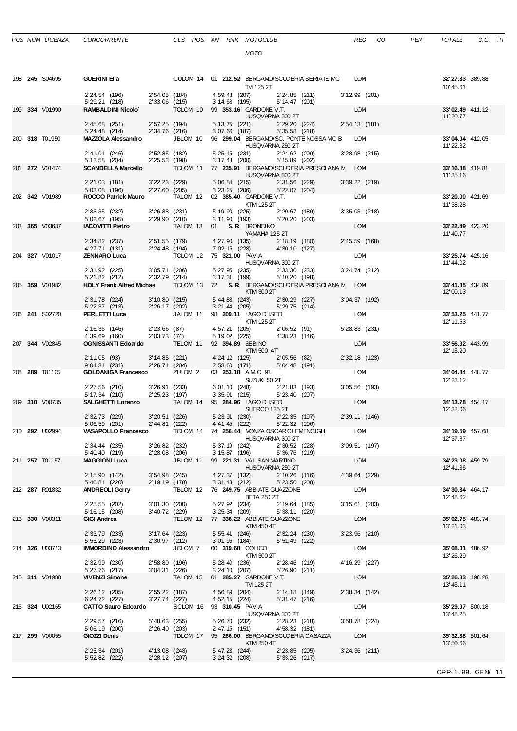|  | POS NUM LICENZA | CONCORRE |
|--|-----------------|----------|
|  |                 |          |

|  | 198 245 S04695        | <b>GUERINI Elia</b>                                            |                                   |                    | CULOM 14 01 212.52 BERGAMO/SCUDERIA SERIATE MC LOM<br>TM 125 2T                                                                                                                                              | 32'27.33 389.88<br>10'45.61         |
|--|-----------------------|----------------------------------------------------------------|-----------------------------------|--------------------|--------------------------------------------------------------------------------------------------------------------------------------------------------------------------------------------------------------|-------------------------------------|
|  |                       |                                                                |                                   |                    | 2' 24.54 (196) 2' 54.05 (184) 4' 59.48 (207) 2' 24.85 (211) 3' 12.99 (201)<br>5' 29.21 (218) 2' 33.06 (215) 3' 14.68 (195) 5' 14.47 (201)<br><b>RAMBALDINI Nicolo</b> TCLOM 10 99 <b>353.16</b> GARDONE V.T. |                                     |
|  | 199 334 V01990        |                                                                |                                   |                    | HUSQVARNA 300 2T                                                                                                                                                                                             | 33'02.49 411.12<br>11' 20.77        |
|  |                       | 2' 45.68 (251) 2' 57.25 (194)<br>5' 24.48 (214)                | 2' 34.76 (216)                    |                    | 5' 13.75 (221) 2' 29.20 (224) 2' 54.13 (181)<br>$3'07.66$ (187) $5'35.58$ (218)                                                                                                                              |                                     |
|  | 200 318 T01950        |                                                                |                                   |                    | MAZZOLA Alessandro JBLOM 10 96 299.04 BERGAMO/SC. PONTE NOSSA MC B LOM<br>HUSQVARNA 250 2T                                                                                                                   | 33'04.04 412.05<br>11'22.32         |
|  |                       | 2' 41.01 (246) 2' 52.85 (182)<br>$5' 12.58$ (204)              | 2'25.53 (198)                     |                    | $\begin{array}{lllll} 5'25.15 & (231) & 2'24.62 & (209) & 3'28.98 & (215) \\ 3'17.43 & (200) & 5'15.89 & (202) & & & \end{array}$                                                                            |                                     |
|  | 201 272 V01474        |                                                                |                                   |                    | SCANDELLA Marcello TCLOM 11 77 235.91 BERGAMO/SCUDERIA PRESOLANA M LOM<br>HUSQVARNA 300 2T                                                                                                                   | 33'16.88 419.81<br>11'35.16         |
|  |                       | 2'21.03 (181) 3'22.23 (229)<br>5'03.08 (196)                   | 2'27.60(205)                      |                    | $\begin{array}{lllll} 5'06.84 & (215) & \qquad & 2'31.56 & (229) & \qquad & 3'39.22 & (219) \\ 3'23.25 & (206) & \qquad & 5'22.07 & (204) & \end{array}$                                                     |                                     |
|  | 202 342 V01989        | ROCCO Patrick Mauro                                            |                                   |                    | TALÓM 12 02 <b>385.40</b> GARDONE V.T. LOM<br>KTM 125 2T<br>(221) $\frac{1000}{1000}$ CARDONE V.T.                                                                                                           | 33'20.00 421.69<br>11'38.28         |
|  |                       | 2' 33.35 (232)<br>5' 02.67 (195)<br><b>IACOVITTI Pi</b> etro   | 3'26.38(231)<br>2'29.90 (210)     |                    | $5'19.90$ (225) $2'20.67$ (189) $3'35.03$ (218)<br>3' 11.90 (193) 5' 20.20 (203)                                                                                                                             |                                     |
|  | 203 365 V03637        |                                                                |                                   |                    | <b>LOM</b><br>TALOM 13 01 S.R BRONCINO<br>$Y$ AMAHA 125 2T                                                                                                                                                   | 33'22.49 423.20<br>11' 40.77        |
|  |                       | 2' 34.82 (237)<br>4'27.71 (131) 2'24.48 (194)                  | 2' 51.55 (179)                    |                    | 4'27.90 (135) 2'18.19 (180) 2'45.59 (168)<br>7'02.15 (228) 4'30.10 (127)                                                                                                                                     |                                     |
|  | 204 327 V01017        | <b>ZENNARO Luca</b>                                            |                                   |                    | <b>LOM</b><br>TCLOM 12 75 321.00 PAVIA<br>HUSQVARNA 300 2T                                                                                                                                                   | 33'25.74 425.16<br>11' 44.02        |
|  |                       |                                                                |                                   |                    | 2' 31.92 (225) 3' 05.71 (206) 5' 27.95 (235) 2' 33.30 (233)<br>5' 21.82 (212) 2' 32.79 (214) 3' 17.31 (199) 5' 10.20 (198)<br>5' 27.95 (235) 2' 33.30 (233)<br>3'24.74 (212)                                 |                                     |
|  | 205 359 V01982        |                                                                |                                   |                    | HOLY Frank Alfred Michae TCLOM 13 72 S.R BERGAMO/SCUDERIA PRESOLANA M LOM<br>KTM 300 2T                                                                                                                      | 33'41.85 434.89<br>12'00.13         |
|  |                       | 2' 31.78 (224) 3' 10.80 (215)<br>5' 22.37 (213) 2' 26.17 (202) |                                   |                    | 5' 44.88 (243) 2' 30.29 (227) 3' 04.37 (192)<br>3' 21.44 (205) 5' 29.75 (214) 98 209.11 LAGO D' ISEO LOM                                                                                                     |                                     |
|  | 206 241 S02720        |                                                                |                                   |                    | <b>PERLETTI Luca</b> JALOM 11 98 209.11 LAGO D'ISEO<br>KTM 125 2T                                                                                                                                            | 33'53.25 441.77<br>12' 11.53        |
|  |                       | 2' 16.36 (146) 2' 23.66 (87)<br>4' 39.69 (160) 2' 03.73 (74)   |                                   |                    | 4' 57.21 (205) 2' 06.52 (91)<br>5' 19.02 (225) 4' 38.23 (146)<br>5' 28.83 (231)                                                                                                                              |                                     |
|  | 207 344 V02845        | <b>OGNISSANTI Edoardo</b>                                      |                                   |                    | LOM<br>TELOM 11 92 394.89 SEBINO<br>KTM 500 4T                                                                                                                                                               | 33'56.92 443.99<br>12' 15.20        |
|  |                       | 2' 11.05 (93)<br>9'04.34 (231)                                 | 3'14.85 (221)<br>2' 26.74 (204)   |                    | 2' 32.18 (123)<br>4'24.12 (125) 2'05.56 (82)<br>2' 53.60 (171) 5' 04.48 (191)                                                                                                                                |                                     |
|  | 208 289 T01105        | <b>GOLDANIGA Francesco</b>                                     |                                   | ZULOM 2            | LOM<br>03 <b>253.18</b> A.M.C. 93<br>$\frac{1}{\sqrt{2}}$ SUZUKI 50 2T                                                                                                                                       | 34'04.84 448.77<br>12' 23.12        |
|  |                       | 2' 27.56 (210) 3' 26.91 (233)<br>5' 17.34 (210)                | $2' 25.23$ (197)                  |                    | 3'05.56 (193)<br>6'01.10 (248) 2'21.83 (193)<br>3'35.91 (215) 5'23.40 (207)                                                                                                                                  |                                     |
|  | 209 310 V00735        | SALGHETTI Lorenzo TALOM 14                                     |                                   |                    | LOM<br>95 <b>284.96</b> LAGO D`ISEO<br>SHERCO 125 2T<br>SHERCO 125 2T                                                                                                                                        | 34' 13.78 454.17<br>12' 32.06       |
|  |                       |                                                                |                                   |                    |                                                                                                                                                                                                              |                                     |
|  |                       | 2' 32.73 (229)<br>5'06.59 (201)                                | $2' 44.81$ (222)                  | 3'20.51 (226)      | 5' 23.91 (230) 2' 22.35 (197) 2' 39.11 (146)<br>4' 41.45 (222) 5' 22.32 (206)                                                                                                                                |                                     |
|  | 210 292 U02994        |                                                                |                                   |                    | VASAPOLLO Francesco          TCLOM 14     74   256.44   MONZA OSCAR CLEMENCIGH             LOM<br>HUSQVARNA 300 2T                                                                                           | 34' 19.59 457.68<br>12' 37.87       |
|  |                       | 2' 34.44 (235)<br>5' 40.40 (219)                               | 3'26.82 (232)<br>2'28.08 (206)    |                    | 5' 37.19 (242) 2' 30.52 (228)<br>3'09.51 (197)<br>5'36.76 (219)<br>$3'15.87$ (196)                                                                                                                           |                                     |
|  | 211 <b>257</b> T01157 | <b>MAGGIONI Luca</b>                                           |                                   | JBLOM 11           | <b>LOM</b><br>99 221.31 VAL SAN MARTINO<br>HUSQVARNA 250 2T                                                                                                                                                  | 34'23.08 459.79<br>12' 41.36        |
|  |                       | 2' 15.90 (142)<br>5' 40.81 (220)                               | $3'54.98$ (245)<br>2' 19.19 (178) |                    | 4'39.64 (229)<br>4'27.37 (132)<br>$2'10.26$ (116)<br>$3'31.43$ (212)<br>5'23.50 (208)                                                                                                                        |                                     |
|  | 212 287 R01832        | <b>ANDREOLI Gerry</b>                                          |                                   | TBLOM 12           | LOM<br>76 249.75 ABBIATE GUAZZONE<br><b>BETA 250 2T</b>                                                                                                                                                      | 34'30.34 464.17<br>12' 48.62        |
|  |                       | 2' 25.55 (202)<br>5' 16.15 (208)                               | 3'01.30(200)<br>3'40.72 (229)     |                    | 5' 27.92 (234)<br>2' 19.64 (185)<br>$3'15.61$ (203)<br>5'38.11 (220)<br>$3'25.34$ (209)                                                                                                                      |                                     |
|  | 213 330 V00311        | <b>GIGI Andrea</b>                                             |                                   | TELOM 12           | 77 338.22 ABBIATE GUAZZONE<br><b>LOM</b><br>KTM 450 4T                                                                                                                                                       | 35'02.75 483.74<br>13'21.03         |
|  |                       | 2' 33.79 (233)<br>5' 55.29 (223)                               | 3' 17.64 (223)<br>$2'30.97$ (212) |                    | 2' 32.24 (230)<br>3'23.96 (210)<br>5' 55.41 (246)<br>5' 51.49 (222)<br>$3'01.96$ (184)                                                                                                                       |                                     |
|  | 214 326 U03713        | IMMORDINO Alessandro                                           |                                   | JCLOM <sub>7</sub> | <b>LOM</b><br>00 319.68 COLICO<br>KTM 300 2T                                                                                                                                                                 | <b>35'08.01</b> 486.92<br>13' 26.29 |
|  |                       | 2' 32.99 (230)<br>5' 27.76 (217)                               | 2'58.80(196)<br>3'04.31 (226)     |                    | 4' 16.29 (227)<br>5'28.40(236)<br>2' 28.46 (219)<br>$3'24.10$ (207)<br>5'26.90(211)                                                                                                                          |                                     |
|  | 215 311 V01988        | <b>VIVENZI Simone</b>                                          |                                   | TALOM 15           | LOM<br>01 285.27 GARDONE V.T.<br>TM 125 2T                                                                                                                                                                   | 35'26.83 498.28<br>13' 45.11        |
|  |                       | 2' 26.12 (205)<br>6'24.72 (227)                                | 2' 55.22 (187)<br>$3'27.74$ (227) |                    | 2' 38.34 (142)<br>4' 56.89 (204)<br>2' 14.18 (149)<br>4' 52.15 (224)<br>5' 31.47 (216)                                                                                                                       |                                     |
|  | 216 324 U02165        | <b>CATTO Sauro Edoardo</b>                                     |                                   | SCLOM 16           | <b>LOM</b><br>93 310.45 PAVIA<br>HUSQVARNA 300 2T                                                                                                                                                            | 35' 29.97 500.18<br>13' 48.25       |
|  |                       | 2' 29.57 (216)<br>5' 06.19 (200)                               | 5' 48.63 (255)<br>2' 26.40 (203)  |                    | 3' 58.78 (224)<br>5' 26.70 (232)<br>2'28.23 (218)<br>2' 47.15 (151)<br>4'58.32 (181)                                                                                                                         |                                     |
|  | 217 299 V00055        | GIOZZI Denis<br>2' 25.34 (201)                                 | 4' 13.08 (248)                    | TDLOM 17           | 95 266.00 BERGAMO/SCUDERIA CASAZZA<br>LOM<br>KTM 250 4T<br>5' 47.23 (244)<br>2'23.85 (205)<br>$3'24.36$ (211)                                                                                                | 35'32.38 501.64<br>13'50.66         |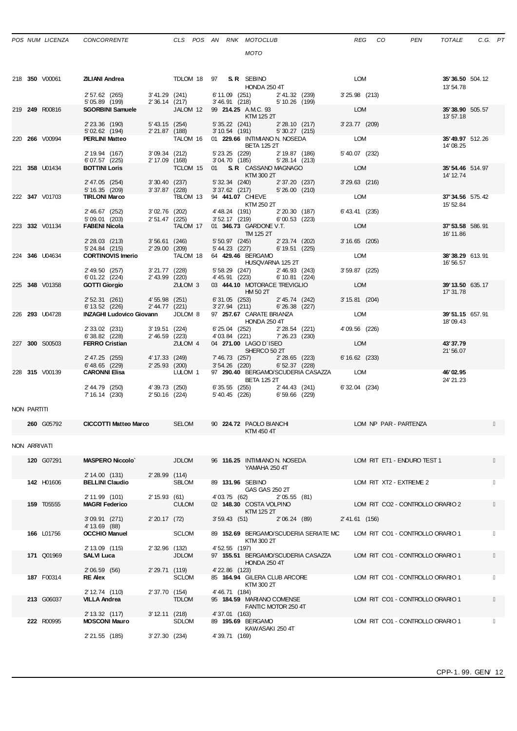## *POS NUM LICENZA CONCORRENTE CLS POS AN RNK MOTOCLUB REG CO PEN TOTALE C.G. PT*

*MOTO*

|             | 218 350 V00061 | <b>ZILIANI Andrea</b>                                            |                                               | TDLOM 18 97 <b>S.R.</b> SEBINO<br>HONDA 250 4T                    | LOM             | 35'36.50 504.12<br>13' 54.78  |
|-------------|----------------|------------------------------------------------------------------|-----------------------------------------------|-------------------------------------------------------------------|-----------------|-------------------------------|
|             |                | 2' 57.62 (265) 3' 41.29 (241)<br>$5'05.89$ (199) $2'36.14$ (217) |                                               | 6' 11.09 (251) 2' 41.32 (239)<br>3'46.91 (218) 5'10.26 (199)      | 3'25.98 (213)   |                               |
|             | 219 249 R00816 | <b>SGORBINI Samuele</b>                                          |                                               | JALOM 12 99 214.25 A.M.C. 93<br>KTM 125 2T                        | LOM             | 35'38.90 505.57<br>13'57.18   |
|             |                | 2' 23.36 (190)<br>5'02.62 (194)                                  | 5' 43.15 (254)<br>2'21.87 (188)               | 5' 35.22 (241)<br>2' 28.10 (217)<br>3' 10.54 (191) 5' 30.27 (215) | 3' 23.77 (209)  |                               |
|             | 220 266 V00994 | <b>PERLINI Matteo</b>                                            | TALOM 16                                      | 01 229.66 INTIMIANON. NOSEDA<br><b>BETA 125 2T</b>                | <b>LOM</b>      | 35'49.97 512.26<br>14'08.25   |
|             |                | 2' 19.94 (167)<br>6'07.57 (225)                                  | 3'09.34 (212)<br>2' 17.09 (168)               | 5' 23.25 (229) 2' 19.87 (186)<br>3'04.70 (185) 5'28.14 (213)      | 5' 40.07 (232)  |                               |
|             | 221 358 U01434 | <b>BOTTINI Loris</b>                                             |                                               | TCLOM 15 01 S.R. CASSANO MAGNAGO<br>KTM 300 2T                    | LOM             | 35' 54.46 514.97<br>14' 12.74 |
|             |                | 2' 47.05 (254)<br>5' 16.35 (209)                                 | 3'30.40(237)<br>3'37.87 (228)                 | 5' 32.34 (240) 2' 37.20 (237)<br>$3'37.62$ (217) $5'26.00$ (210)  | 3'29.63 (216)   |                               |
|             | 222 347 V01703 | <b>TIRLONI Marco</b>                                             | TBLOM 13                                      | 94 441.07 CHIEVE<br>KTM 250 2T                                    | LOM             | 37' 34.56 575.42<br>15' 52.84 |
|             |                | 2' 46.67 (252)<br>5' 09.01 (203)                                 | 3'02.76 (202)<br>2' 51.47 (225)               | 4'48.24 (191) 2'20.30 (187)<br>3' 52.17 (219) 6' 00.53 (223)      | 6' 43.41 (235)  |                               |
|             | 223 332 V01134 | <b>FABENI Nicola</b>                                             | TALOM 17                                      | 01 346.73 GARDONE V.T.<br>TM 125 2T                               | LOM             | 37' 53.58 586.91<br>16' 11.86 |
|             |                | 2' 28.03 (213) 3' 56.61 (246)<br>5' 24.84 (215)                  | 2' 29.00 (209)                                | 5' 50.97 (245) 2' 23.74 (202)<br>5' 44.23 (227) 6' 19.51 (225)    | $3'16.65$ (205) |                               |
|             | 224 346 U04634 | CORTINOVIS Imerio TALOM 18 64 429.46 BERGAMO                     |                                               | HUSQVARNA 125 2T                                                  | <b>LOM</b>      | 38'38.29 613.91<br>16' 56.57  |
|             |                | 2' 49.50 (257)<br>6'01.22 (224)                                  | $3'21.77$ (228)<br>$2'43.99$<br>2'43.99 (220) | 5' 58.29 (247) 2' 46.93 (243)<br>4' 45.91 (223) 6' 10.81 (224)    | 3' 59.87 (225)  |                               |
|             | 225 348 V01358 | <b>GOTTI Giorgio</b>                                             | ZULOM 3                                       | 03 444.10 MOTORACE TREVIGLIO<br>HM 50 2T                          | LOM             | 39' 13.50 635.17<br>17' 31.78 |
|             |                | 2' 52.31 (261)<br>6' 13.52 (226)                                 | 4'55.98 (251)<br>2'44.77 (221)                | 6' 31.05 (253) 2' 45.74 (242)<br>3'27.94 (211) 6'26.38 (227)      | 3' 15.81 (204)  |                               |
|             | 226 293 U04728 | <b>INZAGHI Ludovico Giovann</b> JDLOM 8                          |                                               | 97 257.67 CARATE BRIANZA<br><b>HONDA 250 4T</b>                   | <b>LOM</b>      | 39'51.15 657.91<br>18'09.43   |
|             |                | 2' 33.02 (231)<br>6'38.82 (228)                                  | 3' 19.51 (224)<br>2'46.59 (223)               | 6'25.04 (252) 2'28.54 (221)<br>4'03.84 (221) 7'26.23 (230)        | 4'09.56 (226)   |                               |
|             | 227 300 S00503 | <b>FERRO Cristian</b>                                            | ZULOM 4                                       | 04 271.00 LAGO D'ISEO<br>SHERCO 50 2T                             | LOM             | 43'37.79<br>21'56.07          |
|             |                | 2' 47.25 (255)<br>6'48.65 (229)                                  | 4' 17.33 (249)<br>2' 25.93 (200)              | 7' 46.73 (257) 2' 28.65 (223)<br>3' 54.26 (220) 6' 52.37 (228)    | 6' 16.62 (233)  |                               |
|             | 228 315 V00139 | <b>CARONNI Elisa</b>                                             | LULOM <sub>1</sub>                            | 97 290.40 BERGAMO/SCUDERIA CASAZZA LOM<br><b>BETA 125 2T</b>      |                 | 46'02.95<br>24' 21.23         |
|             |                | 2' 44.79 (250)<br>7' 16.14 (230)                                 | 4'39.73 (250)<br>2'50.16 (224)                | 6' 35.55 (255) 2' 44.43 (241)<br>5' 40.45 (226) 6' 59.66 (229)    | 6' 32.04 (234)  |                               |
| NON PARTITI |                |                                                                  |                                               |                                                                   |                 |                               |

|              | 260 G05792        | <b>CICCOTTI Matteo Marco</b>                      |                                  | <b>SELOM</b>                   |                                  | 90 224.72 PAOLO BIANCHI<br>KTM 450 4T              |                                       |                | LOM NP PAR - PARTENZA            |  |
|--------------|-------------------|---------------------------------------------------|----------------------------------|--------------------------------|----------------------------------|----------------------------------------------------|---------------------------------------|----------------|----------------------------------|--|
| NON ARRIVATI |                   |                                                   |                                  |                                |                                  |                                                    |                                       |                |                                  |  |
|              | 120 G07291        | <b>MASPERO Niccolo</b><br>2' 14.00 (131)          | 2'28.99 (114)                    | <b>JDLOM</b>                   |                                  | YAMAHA 250 4T                                      | 96 116.25 INTIMIANO N. NOSEDA         |                | LOM RIT ET1 - ENDURO TEST 1      |  |
|              | 142 H01606        | <b>BELLINI Claudio</b><br>2' 11.99 (101)          | 2' 15.93 (61)                    | <b>SBLOM</b>                   |                                  | 89 131.96 SEBINO<br>GAS GAS 250 2T<br>4'03.75 (62) | 2'05.55(81)                           |                | LOM RIT XT2 - EXTREME 2          |  |
|              | <b>159 T05555</b> | <b>MAGRI Federico</b>                             |                                  | <b>CULOM</b>                   |                                  | 02 148.30 COSTA VOLPINO<br>KTM 125 2T              |                                       |                | LOM RIT CO2 - CONTROLLO ORARIO 2 |  |
|              |                   | 3'09.91(271)<br>4' 13.69 (88)                     | 2'20.17(72)                      |                                |                                  | 3'59.43(51)                                        | 2'06.24(89)                           | 2' 41.61 (156) |                                  |  |
|              | 166 L01756        | <b>OCCHIO Manuel</b><br>2' 13.09 (115)            | 2' 32.96 (132)                   | <b>SCLOM</b>                   | 4' 52.55 (197)                   | KTM 300 2T                                         | 89 152.69 BERGAMO/SCUDERIA SERIATE MC |                | LOM RIT CO1 - CONTROLLO ORARIO 1 |  |
|              | 171 Q01969        | <b>SALVI Luca</b>                                 |                                  | <b>JDLOM</b>                   |                                  | <b>HONDA 250 4T</b>                                | 97 155.51 BERGAMO/SCUDERIA CASAZZA    |                | LOM RIT CO1 - CONTROLLO ORARIO 1 |  |
|              | 187 F00314        | 2' 06.59 (56)<br><b>RE Alex</b><br>2' 12.74 (110) | 2' 29.71 (119)<br>2' 37.70 (154) | <b>SCLOM</b>                   | 4' 22.86 (123)<br>4' 46.71 (184) | KTM 300 2T                                         | 85 164.94 GILERA CLUB ARCORE          |                | LOM RIT CO1 - CONTROLLO ORARIO 1 |  |
|              | 213 G06037        | <b>VILLA Andrea</b>                               |                                  | <b>TDLOM</b>                   |                                  | 95 184.59 MARIANO COMENSE                          | FANTIC MOTOR 250 4T                   |                | LOM RIT CO1 - CONTROLLO ORARIO 1 |  |
|              | 222 R00995        | 2' 13.32 (117)<br><b>MOSCONI Mauro</b>            |                                  | 3' 12.11 (218)<br><b>SDLOM</b> | 4'37.01 (163)                    | 89 195.69 BERGAMO                                  | KAWASAKI 250 4T                       |                | LOM RIT CO1 - CONTROLLO ORARIO 1 |  |
|              |                   | 2' 21.55 (185)                                    | 3'27.30 (234)                    |                                | 4'39.71 (169)                    |                                                    |                                       |                |                                  |  |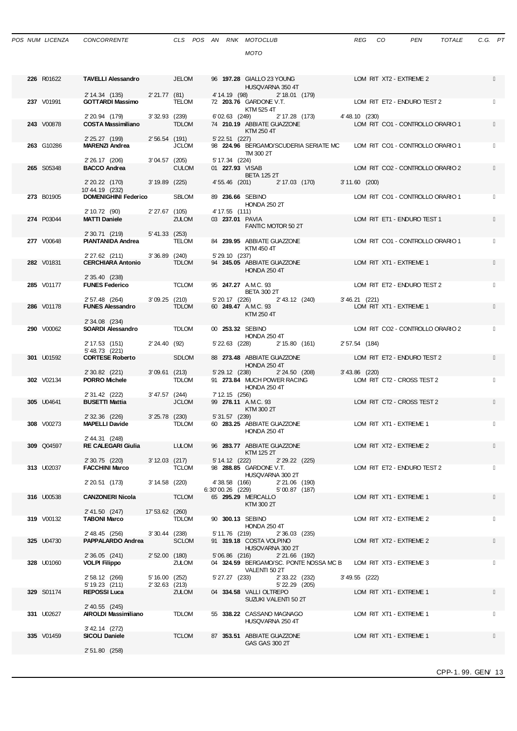|  | POS NUM LICENZA | <b>CONCORI</b> |
|--|-----------------|----------------|
|  |                 |                |

| 226 R01622 | <b>TAVELLI Alessandro</b>                     |                                  | <b>JELOM</b>                  |                                     | 96 197.28 GIALLO 23 YOUNG<br>HUSQVARNA 350 4T     |                                                           |                  | LOM RIT XT2 - EXTREME 2          |  |
|------------|-----------------------------------------------|----------------------------------|-------------------------------|-------------------------------------|---------------------------------------------------|-----------------------------------------------------------|------------------|----------------------------------|--|
| 237 V01991 | 2' 14.34 (135)<br><b>GOTTARDI Massimo</b>     | 2' 21.77 (81)                    | <b>TELOM</b>                  |                                     | 72 203.76 GARDONE V.T.<br>KTM 525 4T              | 4' 14.19 (98) 2' 18.01 (179)                              |                  | LOM RIT ET2 - ENDURO TEST 2      |  |
| 243 V00878 | 2' 20.94 (179)<br><b>COSTA Massimiliano</b>   | 3' 32.93 (239)                   | <b>TDLOM</b>                  | 6'02.63 (249)                       | KTM 250 4T                                        | 2' 17.28 (173)<br>74 210.19 ABBIATE GUAZZONE              | 4'48.10(230)     | LOM RIT CO1 - CONTROLLO ORARIO 1 |  |
| 263 G10286 | 2' 25.27 (199)<br><b>MARENZI Andrea</b>       | 2'56.54 (191)                    | <b>JCLOM</b>                  | $5'$ 22.51 $(227)$                  |                                                   | 98 224.96 BERGAMO/SCUDERIA SERIATE MC                     |                  | LOM RIT CO1 - CONTROLLO ORARIO 1 |  |
|            | 2' 26.17 (206)                                | 3'04.57 (205)                    |                               | 5' 17.34 (224)                      | TM 300 2T                                         |                                                           |                  |                                  |  |
| 265 S05348 | <b>BACCO Andrea</b><br>2' 20.22 (170)         | $3'19.89$ (225)                  | <b>CULOM</b>                  | 01 227.93 VISAB                     | <b>BETA 125 2T</b>                                | 4' 55.46 (201) 2' 17.03 (170)                             | $3'11.60$ (200)  | LOM RIT CO2 - CONTROLLO ORARIO 2 |  |
| 273 B01905 | 10'44.19 (232)<br><b>DOMENIGHINI Federico</b> |                                  | <b>SBLOM</b>                  | 89 236.66 SEBINO                    |                                                   |                                                           |                  | LOM RIT CO1 - CONTROLLO ORARIO 1 |  |
| 274 P03044 | 2' 10.72 (90)<br><b>MATTI Daniele</b>         | 2'27.67 (105)                    | <b>ZULOM</b>                  | 4' 17.55 (111)<br>03 237.01 PAVIA   | <b>HONDA 250 2T</b>                               |                                                           |                  | LOM RIT ET1 - ENDURO TEST 1      |  |
|            | 2' 30.71 (219)                                | 5'41.33 (253)                    |                               |                                     |                                                   | FANTIC MOTOR 50 2T                                        |                  |                                  |  |
| 277 V00648 | PIANTANIDA Andrea<br>2' 27.62 (211)           | $3'36.89$ (240)                  | TELOM                         | 5' 29.10 (237)                      | 84 239.95 ABBIATE GUAZZONE<br>KTM 450 4T          |                                                           |                  | LOM RIT CO1 - CONTROLLO ORARIO 1 |  |
| 282 V01831 | <b>CERCHIARA Antonio</b><br>2' 35.40 (238)    |                                  | <b>TDLOM</b>                  |                                     | 94 245.05 ABBIATE GUAZZONE<br><b>HONDA 250 4T</b> |                                                           |                  | LOM RIT XT1 - EXTREME 1          |  |
| 285 V01177 | <b>FUNES Federico</b>                         |                                  | <b>TCLOM</b>                  |                                     | 95 247.27 A.M.C. 93<br><b>BETA 300 2T</b>         |                                                           |                  | LOM RIT ET2 - ENDURO TEST 2      |  |
| 286 V01178 | 2' 57.48 (264)<br><b>FUNES Alessandro</b>     | 3'09.25 (210)                    | <b>TDLOM</b>                  | 5' 20.17 (226)                      | 60 249.47 A.M.C. 93<br>KTM 250 4T                 | 2'43.12 (240)                                             | 3'46.21 (221)    | LOM RIT XT1 - EXTREME 1          |  |
| 290 V00062 | 2' 34.08 (234)<br>SOARDI Alessandro           |                                  | <b>TDLOM</b>                  | 00 253.32 SEBINO                    |                                                   |                                                           |                  | LOM RIT CO2 - CONTROLLO ORARIO 2 |  |
|            | 2' 17.53 (151)<br>5' 48.73 (221)              | 2'24.40 (92)                     |                               | 5' 22.63 (228)                      | <b>HONDA 250 4T</b>                               | 2' 15.80 (161)                                            | 2' 57.54 (184)   |                                  |  |
| 301 U01592 | <b>CORTESE Roberto</b><br>2' 30.82 (221)      | 3'09.61 (213)                    | <b>SDLOM</b>                  | 5' 29.12 (238)                      | 88 273.48 ABBIATE GUAZZONE<br>HONDA 250 4T        | 2' 24.50 (208)                                            | $3' 43.86$ (220) | LOM RIT ET2 - ENDURO TEST 2      |  |
| 302 V02134 | <b>PORRO Michele</b>                          |                                  | <b>TDLOM</b>                  |                                     | <b>HONDA 250 4T</b>                               | 91 273.84 MUCH POWER RACING                               |                  | LOM RIT CT2 - CROSS TEST 2       |  |
| 305 U04641 | 2' 31.42 (222)<br><b>BUSETTI Mattia</b>       | 3'47.57 (244)                    | <b>JCLOM</b>                  | 7' 12.15 (256)                      | 99 278.11 A.M.C. 93<br>KTM 300 2T                 |                                                           |                  | LOM RIT CT2 - CROSS TEST 2       |  |
| 308 V00273 | 2' 32.36 (226)<br><b>MAPELLI Davide</b>       |                                  | 3'25.78 (230)<br><b>TDLOM</b> | 5' 31.57 (239)                      | 60 283.25 ABBIATE GUAZZONE<br><b>HONDA 250 4T</b> |                                                           |                  | LOM RIT XT1 - EXTREME 1          |  |
| 309 Q04597 | 2' 44.31 (248)<br><b>RE CALEGARI Giulia</b>   |                                  | <b>LULOM</b>                  |                                     | 96 283.77 ABBIATE GUAZZONE<br>KTM 125 2T          |                                                           |                  | LOM RIT XT2 - EXTREME 2          |  |
| 313 U02037 | 2' 30.75 (220)<br><b>FACCHINI Marco</b>       | 3' 12.03 (217)                   | <b>TCLOM</b>                  | $5'$ 14.12 $(222)$                  | 98 288.85 GARDONE V.T.                            | 2' 29.22 (225)                                            |                  | LOM RIT ET2 - ENDURO TEST 2      |  |
|            | 2' 20.51 (173)                                | 3' 14.58 (220)                   |                               | 4'38.58 (166)<br>$6:30'00.26$ (229) | HUSQVARNA 300 2T                                  | 2' 21.06 (190)<br>5'00.87 (187)                           |                  |                                  |  |
| 316 U00538 | <b>CANZONERI Nicola</b><br>2' 41.50 (247)     | 17' 53.62 (260)                  | <b>TCLOM</b>                  |                                     | 65 295.29 MERCALLO<br>KTM 300 2T                  |                                                           |                  | LOM RIT XT1 - EXTREME 1          |  |
| 319 V00132 | <b>TABONI Marco</b><br>2' 48.45 (256)         | $3'30.44$ (238)                  | <b>TDLOM</b>                  | 90 300.13 SEBINO<br>5' 11.76 (219)  | <b>HONDA 250 4T</b>                               | 2' 36.03 (235)                                            |                  | LOM RIT XT2 - EXTREME 2          |  |
| 325 U04730 | <b>PAPPALARDO Andrea</b>                      |                                  | <b>SCLOM</b>                  |                                     | 91 319.18 COSTA VOLPINO<br>HUSQVARNA 300 2T       |                                                           |                  | LOM RIT XT2 - EXTREME 2          |  |
| 328 U01060 | 2'36.05(241)<br><b>VOLPI Filippo</b>          | 2' 52.00 (180)                   | ZULOM                         | 5'06.86 (216)                       | VALENTI 50 2T                                     | $2'21.66$ (192)<br>04 324.59 BERGAMO/SC. PONTE NOSSA MC B |                  | LOM RIT XT3 - EXTREME 3          |  |
|            | 2' 58.12 (266)<br>5' 19.23 (211)              | 5' 16.00 (252)<br>2' 32.63 (213) |                               | 5' 27.27 (233)                      |                                                   | 2' 33.22 (232)<br>5' 22.29 (205)                          | 3' 49.55 (222)   |                                  |  |
| 329 S01174 | REPOSSI Luca<br>2' 40.55 (245)                |                                  | <b>ZULOM</b>                  |                                     | 04 334.58 VALLI OLTREPO                           | SUZUKI VALENTI 50 2T                                      |                  | LOM RIT XT1 - EXTREME 1          |  |
| 331 U02627 | AIROLDI Massimiliano                          |                                  | <b>TDLOM</b>                  |                                     | 55 338.22 CASSANO MAGNAGO<br>HUSQVARNA 250 4T     |                                                           |                  | LOM RIT XT1 - EXTREME 1          |  |
| 335 V01459 | 3' 42.14 (272)<br>SICOLI Daniele              |                                  | <b>TCLOM</b>                  |                                     | 87 353.51 ABBIATE GUAZZONE<br>GAS GAS 300 2T      |                                                           |                  | LOM RIT XT1 - EXTREME 1          |  |
|            | 2' 51.80 (258)                                |                                  |                               |                                     |                                                   |                                                           |                  |                                  |  |